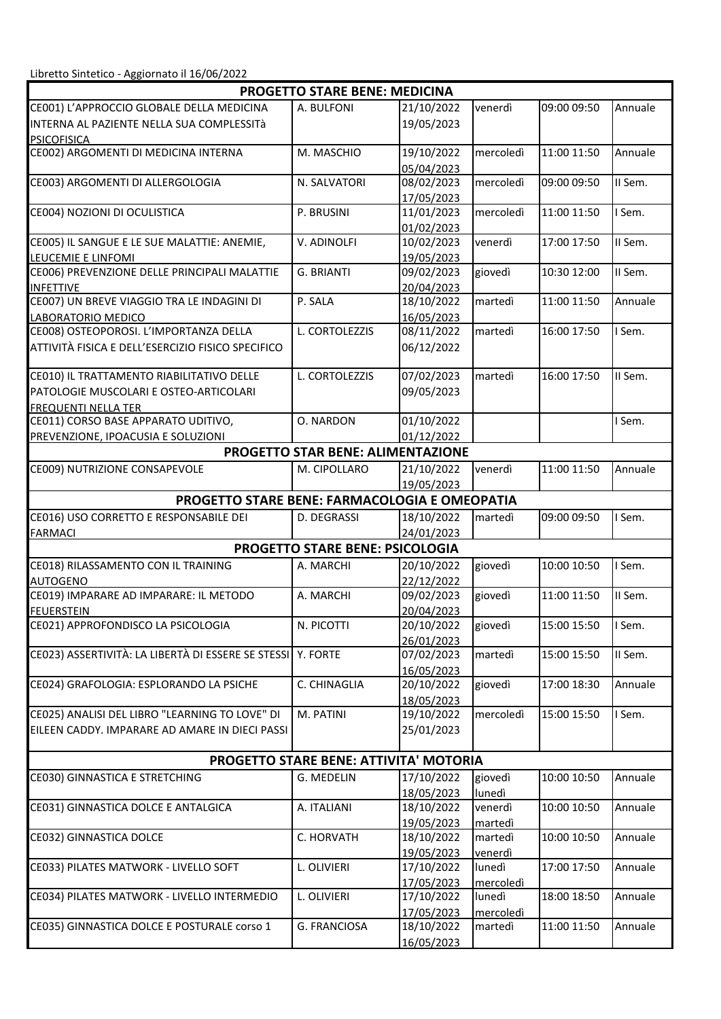|                                                               | <b>PROGETTO STARE BENE: MEDICINA</b>          |                          |           |             |         |  |  |  |
|---------------------------------------------------------------|-----------------------------------------------|--------------------------|-----------|-------------|---------|--|--|--|
| CE001) L'APPROCCIO GLOBALE DELLA MEDICINA                     | A. BULFONI                                    | 21/10/2022               | venerdì   | 09:00 09:50 | Annuale |  |  |  |
| INTERNA AL PAZIENTE NELLA SUA COMPLESSITà                     |                                               | 19/05/2023               |           |             |         |  |  |  |
| <b>PSICOFISICA</b>                                            |                                               |                          |           |             |         |  |  |  |
| CE002) ARGOMENTI DI MEDICINA INTERNA                          | M. MASCHIO                                    | 19/10/2022               | mercoledì | 11:00 11:50 | Annuale |  |  |  |
|                                                               |                                               | 05/04/2023               |           |             |         |  |  |  |
| CE003) ARGOMENTI DI ALLERGOLOGIA                              | N. SALVATORI                                  | 08/02/2023               | mercoledì | 09:00 09:50 | II Sem. |  |  |  |
|                                                               |                                               | 17/05/2023               |           |             |         |  |  |  |
| CE004) NOZIONI DI OCULISTICA                                  | P. BRUSINI                                    | 11/01/2023               | mercoledì | 11:00 11:50 | I Sem.  |  |  |  |
|                                                               |                                               | 01/02/2023               |           |             |         |  |  |  |
| CE005) IL SANGUE E LE SUE MALATTIE: ANEMIE,                   | V. ADINOLFI                                   | 10/02/2023               | venerdì   | 17:00 17:50 | II Sem. |  |  |  |
| LEUCEMIE E LINFOMI                                            |                                               | 19/05/2023               |           |             |         |  |  |  |
| CE006) PREVENZIONE DELLE PRINCIPALI MALATTIE                  | G. BRIANTI                                    | 09/02/2023               | giovedì   | 10:30 12:00 | II Sem. |  |  |  |
| <b>INFETTIVE</b>                                              |                                               | 20/04/2023               |           |             |         |  |  |  |
| CE007) UN BREVE VIAGGIO TRA LE INDAGINI DI                    | P. SALA                                       | 18/10/2022<br>16/05/2023 | martedì   | 11:00 11:50 | Annuale |  |  |  |
| LABORATORIO MEDICO<br>CE008) OSTEOPOROSI. L'IMPORTANZA DELLA  | L. CORTOLEZZIS                                | 08/11/2022               | martedì   | 16:00 17:50 | I Sem.  |  |  |  |
| ATTIVITÀ FISICA E DELL'ESERCIZIO FISICO SPECIFICO             |                                               | 06/12/2022               |           |             |         |  |  |  |
|                                                               |                                               |                          |           |             |         |  |  |  |
| CE010) IL TRATTAMENTO RIABILITATIVO DELLE                     | L. CORTOLEZZIS                                | 07/02/2023               | martedì   | 16:00 17:50 | II Sem. |  |  |  |
| PATOLOGIE MUSCOLARI E OSTEO-ARTICOLARI                        |                                               | 09/05/2023               |           |             |         |  |  |  |
| <b>FREQUENTI NELLA TER</b>                                    |                                               |                          |           |             |         |  |  |  |
| CE011) CORSO BASE APPARATO UDITIVO,                           | O. NARDON                                     | 01/10/2022               |           |             | I Sem.  |  |  |  |
| PREVENZIONE, IPOACUSIA E SOLUZIONI                            |                                               | 01/12/2022               |           |             |         |  |  |  |
|                                                               | <b>PROGETTO STAR BENE: ALIMENTAZIONE</b>      |                          |           |             |         |  |  |  |
| CE009) NUTRIZIONE CONSAPEVOLE                                 | M. CIPOLLARO                                  | 21/10/2022               | venerdì   | 11:00 11:50 | Annuale |  |  |  |
|                                                               |                                               | 19/05/2023               |           |             |         |  |  |  |
| PROGETTO STARE BENE: FARMACOLOGIA E OMEOPATIA                 |                                               |                          |           |             |         |  |  |  |
| CE016) USO CORRETTO E RESPONSABILE DEI                        | D. DEGRASSI                                   | 18/10/2022               | martedì   | 09:00 09:50 | I Sem.  |  |  |  |
| <b>FARMACI</b>                                                |                                               | 24/01/2023               |           |             |         |  |  |  |
|                                                               | <b>PROGETTO STARE BENE: PSICOLOGIA</b>        |                          |           |             |         |  |  |  |
| CE018) RILASSAMENTO CON IL TRAINING                           | A. MARCHI                                     | 20/10/2022               | giovedì   | 10:00 10:50 | I Sem.  |  |  |  |
| <b>AUTOGENO</b>                                               |                                               | 22/12/2022               |           |             |         |  |  |  |
| CE019) IMPARARE AD IMPARARE: IL METODO                        | A. MARCHI                                     | 09/02/2023               | giovedì   | 11:00 11:50 | II Sem. |  |  |  |
| <b>FEUERSTEIN</b>                                             |                                               | 20/04/2023               |           |             |         |  |  |  |
| CE021) APPROFONDISCO LA PSICOLOGIA                            | N. PICOTTI                                    | 20/10/2022               | giovedì   | 15:00 15:50 | I Sem.  |  |  |  |
|                                                               |                                               | 26/01/2023               |           |             |         |  |  |  |
| CE023) ASSERTIVITÀ: LA LIBERTÀ DI ESSERE SE STESSI   Y. FORTE |                                               | 07/02/2023               | martedì   | 15:00 15:50 | II Sem. |  |  |  |
|                                                               |                                               | 16/05/2023               |           |             |         |  |  |  |
| CE024) GRAFOLOGIA: ESPLORANDO LA PSICHE                       | C. CHINAGLIA                                  | 20/10/2022               | giovedì   | 17:00 18:30 | Annuale |  |  |  |
|                                                               |                                               | 18/05/2023               |           |             |         |  |  |  |
| CE025) ANALISI DEL LIBRO "LEARNING TO LOVE" DI                | M. PATINI                                     | 19/10/2022               | mercoledì | 15:00 15:50 | I Sem.  |  |  |  |
| EILEEN CADDY. IMPARARE AD AMARE IN DIECI PASSI                |                                               | 25/01/2023               |           |             |         |  |  |  |
|                                                               |                                               |                          |           |             |         |  |  |  |
|                                                               | <b>PROGETTO STARE BENE: ATTIVITA' MOTORIA</b> |                          |           |             |         |  |  |  |
| CE030) GINNASTICA E STRETCHING                                | <b>G. MEDELIN</b>                             | 17/10/2022               | giovedì   | 10:00 10:50 | Annuale |  |  |  |
|                                                               |                                               | 18/05/2023               | lunedì    |             |         |  |  |  |
| CE031) GINNASTICA DOLCE E ANTALGICA                           | A. ITALIANI                                   | 18/10/2022               | venerdì   | 10:00 10:50 | Annuale |  |  |  |
|                                                               |                                               | 19/05/2023               | martedì   |             |         |  |  |  |
| CE032) GINNASTICA DOLCE                                       | C. HORVATH                                    | 18/10/2022               | martedì   | 10:00 10:50 | Annuale |  |  |  |
|                                                               |                                               | 19/05/2023               | venerdì   |             |         |  |  |  |
| CE033) PILATES MATWORK - LIVELLO SOFT                         | L. OLIVIERI                                   | 17/10/2022               | lunedì    | 17:00 17:50 | Annuale |  |  |  |
|                                                               |                                               | 17/05/2023               | mercoledì |             |         |  |  |  |
| CE034) PILATES MATWORK - LIVELLO INTERMEDIO                   | L. OLIVIERI                                   | 17/10/2022               | lunedì    | 18:00 18:50 | Annuale |  |  |  |
|                                                               |                                               | 17/05/2023               | mercoledì |             |         |  |  |  |
| CE035) GINNASTICA DOLCE E POSTURALE corso 1                   | G. FRANCIOSA                                  | 18/10/2022               | martedì   | 11:00 11:50 | Annuale |  |  |  |
|                                                               |                                               | 16/05/2023               |           |             |         |  |  |  |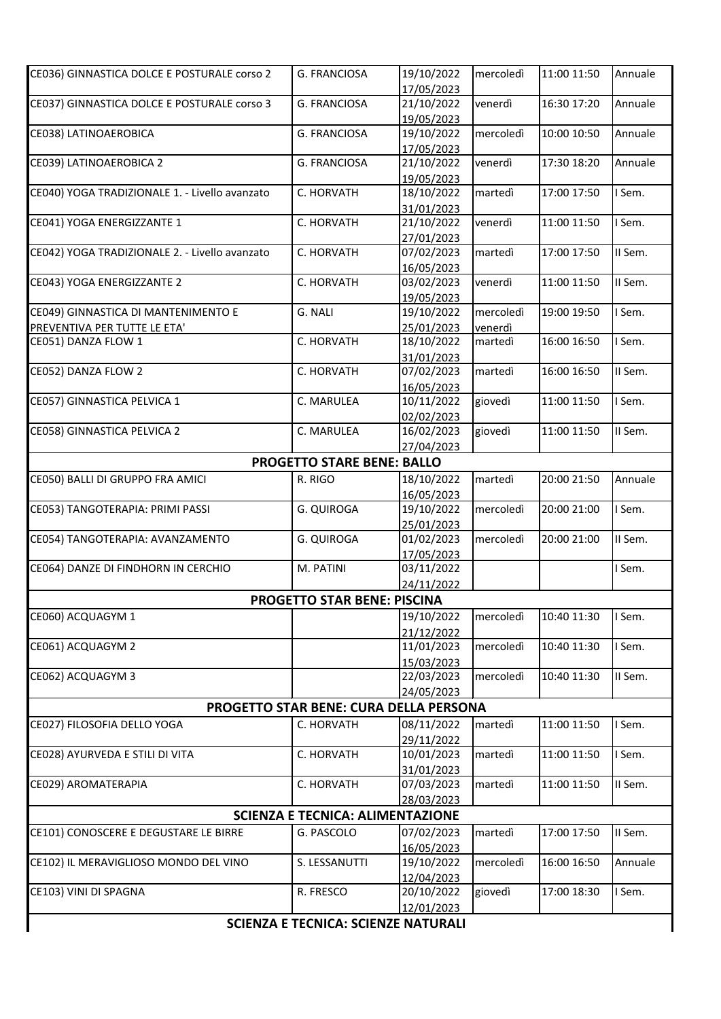| CE036) GINNASTICA DOLCE E POSTURALE corso 2    | <b>G. FRANCIOSA</b>                     | 19/10/2022 | mercoledì | 11:00 11:50 | Annuale |  |  |
|------------------------------------------------|-----------------------------------------|------------|-----------|-------------|---------|--|--|
|                                                |                                         | 17/05/2023 |           |             |         |  |  |
| CE037) GINNASTICA DOLCE E POSTURALE corso 3    | G. FRANCIOSA                            | 21/10/2022 | venerdì   | 16:30 17:20 | Annuale |  |  |
|                                                |                                         | 19/05/2023 |           |             |         |  |  |
| CE038) LATINOAEROBICA                          | G. FRANCIOSA                            | 19/10/2022 | mercoledì | 10:00 10:50 | Annuale |  |  |
|                                                |                                         | 17/05/2023 |           |             |         |  |  |
| CE039) LATINOAEROBICA 2                        | G. FRANCIOSA                            | 21/10/2022 | venerdì   | 17:30 18:20 | Annuale |  |  |
|                                                |                                         | 19/05/2023 |           |             |         |  |  |
| CE040) YOGA TRADIZIONALE 1. - Livello avanzato | C. HORVATH                              | 18/10/2022 | martedì   | 17:00 17:50 | I Sem.  |  |  |
|                                                |                                         | 31/01/2023 |           |             |         |  |  |
| CE041) YOGA ENERGIZZANTE 1                     | C. HORVATH                              | 21/10/2022 | venerdì   | 11:00 11:50 | I Sem.  |  |  |
|                                                |                                         | 27/01/2023 |           |             |         |  |  |
| CE042) YOGA TRADIZIONALE 2. - Livello avanzato | C. HORVATH                              | 07/02/2023 | martedì   | 17:00 17:50 | II Sem. |  |  |
|                                                |                                         | 16/05/2023 |           |             |         |  |  |
| CE043) YOGA ENERGIZZANTE 2                     | C. HORVATH                              | 03/02/2023 | venerdì   | 11:00 11:50 | II Sem. |  |  |
|                                                |                                         | 19/05/2023 |           |             |         |  |  |
| CE049) GINNASTICA DI MANTENIMENTO E            | G. NALI                                 | 19/10/2022 | mercoledì | 19:00 19:50 | I Sem.  |  |  |
| PREVENTIVA PER TUTTE LE ETA'                   |                                         | 25/01/2023 | venerdì   |             |         |  |  |
| CE051) DANZA FLOW 1                            | C. HORVATH                              | 18/10/2022 | martedì   | 16:00 16:50 | I Sem.  |  |  |
|                                                |                                         | 31/01/2023 |           |             |         |  |  |
| CE052) DANZA FLOW 2                            | C. HORVATH                              | 07/02/2023 | martedì   | 16:00 16:50 | II Sem. |  |  |
|                                                |                                         | 16/05/2023 |           |             |         |  |  |
| CE057) GINNASTICA PELVICA 1                    | C. MARULEA                              | 10/11/2022 | giovedì   | 11:00 11:50 | I Sem.  |  |  |
|                                                |                                         | 02/02/2023 |           |             |         |  |  |
| CE058) GINNASTICA PELVICA 2                    | C. MARULEA                              | 16/02/2023 | giovedì   | 11:00 11:50 | II Sem. |  |  |
|                                                |                                         | 27/04/2023 |           |             |         |  |  |
|                                                | <b>PROGETTO STARE BENE: BALLO</b>       |            |           |             |         |  |  |
| CE050) BALLI DI GRUPPO FRA AMICI               | R. RIGO                                 | 18/10/2022 | martedì   | 20:00 21:50 | Annuale |  |  |
|                                                |                                         | 16/05/2023 |           |             |         |  |  |
| CE053) TANGOTERAPIA: PRIMI PASSI               | <b>G. QUIROGA</b>                       | 19/10/2022 | mercoledì | 20:00 21:00 | I Sem.  |  |  |
|                                                |                                         | 25/01/2023 |           |             |         |  |  |
| CE054) TANGOTERAPIA: AVANZAMENTO               | <b>G. QUIROGA</b>                       | 01/02/2023 | mercoledì | 20:00 21:00 | II Sem. |  |  |
|                                                |                                         | 17/05/2023 |           |             |         |  |  |
| CE064) DANZE DI FINDHORN IN CERCHIO            | M. PATINI                               | 03/11/2022 |           |             | I Sem.  |  |  |
|                                                |                                         | 24/11/2022 |           |             |         |  |  |
|                                                | <b>PROGETTO STAR BENE: PISCINA</b>      |            |           |             |         |  |  |
| CE060) ACQUAGYM 1                              |                                         | 19/10/2022 | mercoledì | 10:40 11:30 | I Sem.  |  |  |
|                                                |                                         | 21/12/2022 |           |             |         |  |  |
| CE061) ACQUAGYM 2                              |                                         | 11/01/2023 | mercoledì | 10:40 11:30 | I Sem.  |  |  |
|                                                |                                         | 15/03/2023 |           |             |         |  |  |
| CE062) ACQUAGYM 3                              |                                         | 22/03/2023 | mercoledì | 10:40 11:30 | II Sem. |  |  |
|                                                |                                         | 24/05/2023 |           |             |         |  |  |
|                                                | PROGETTO STAR BENE: CURA DELLA PERSONA  |            |           |             |         |  |  |
| CE027) FILOSOFIA DELLO YOGA                    | C. HORVATH                              | 08/11/2022 | martedì   | 11:00 11:50 | I Sem.  |  |  |
|                                                |                                         | 29/11/2022 |           |             |         |  |  |
| CE028) AYURVEDA E STILI DI VITA                | C. HORVATH                              | 10/01/2023 | martedì   | 11:00 11:50 | I Sem.  |  |  |
|                                                |                                         | 31/01/2023 |           |             |         |  |  |
| CE029) AROMATERAPIA                            | C. HORVATH                              | 07/03/2023 | martedì   | 11:00 11:50 | II Sem. |  |  |
|                                                |                                         | 28/03/2023 |           |             |         |  |  |
|                                                | <b>SCIENZA E TECNICA: ALIMENTAZIONE</b> |            |           |             |         |  |  |
| CE101) CONOSCERE E DEGUSTARE LE BIRRE          | G. PASCOLO                              | 07/02/2023 | martedì   | 17:00 17:50 | II Sem. |  |  |
|                                                |                                         | 16/05/2023 |           |             |         |  |  |
| CE102) IL MERAVIGLIOSO MONDO DEL VINO          | S. LESSANUTTI                           | 19/10/2022 | mercoledì | 16:00 16:50 | Annuale |  |  |
|                                                |                                         | 12/04/2023 |           |             |         |  |  |
| CE103) VINI DI SPAGNA                          | R. FRESCO                               | 20/10/2022 | giovedì   | 17:00 18:30 | I Sem.  |  |  |
|                                                |                                         | 12/01/2023 |           |             |         |  |  |
|                                                |                                         |            |           |             |         |  |  |
| <b>SCIENZA E TECNICA: SCIENZE NATURALI</b>     |                                         |            |           |             |         |  |  |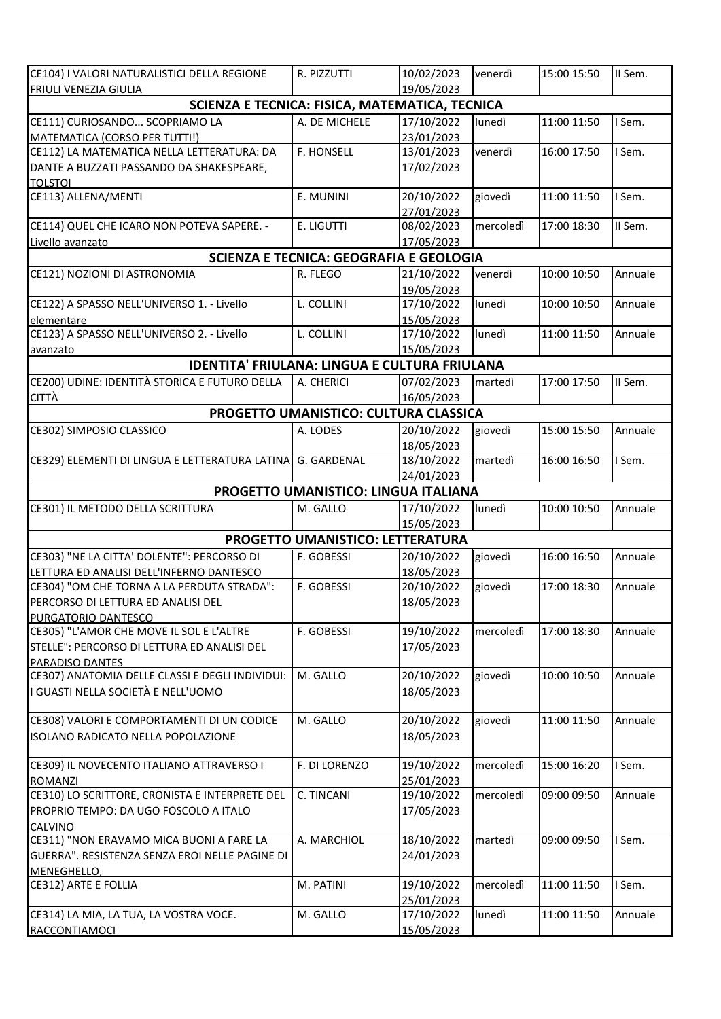| CE104) I VALORI NATURALISTICI DELLA REGIONE                      | R. PIZZUTTI                             | 10/02/2023 | venerdì   | 15:00 15:50 | II Sem. |
|------------------------------------------------------------------|-----------------------------------------|------------|-----------|-------------|---------|
| FRIULI VENEZIA GIULIA                                            |                                         | 19/05/2023 |           |             |         |
| SCIENZA E TECNICA: FISICA, MATEMATICA, TECNICA                   |                                         |            |           |             |         |
| CE111) CURIOSANDO SCOPRIAMO LA                                   | A. DE MICHELE                           | 17/10/2022 | lunedì    | 11:00 11:50 | I Sem.  |
| MATEMATICA (CORSO PER TUTTI!)                                    |                                         | 23/01/2023 |           |             |         |
| CE112) LA MATEMATICA NELLA LETTERATURA: DA                       | F. HONSELL                              | 13/01/2023 | venerdì   | 16:00 17:50 | I Sem.  |
| DANTE A BUZZATI PASSANDO DA SHAKESPEARE,                         |                                         | 17/02/2023 |           |             |         |
| <b>TOLSTOI</b><br>CE113) ALLENA/MENTI                            |                                         | 20/10/2022 |           |             | I Sem.  |
|                                                                  | E. MUNINI                               | 27/01/2023 | giovedì   | 11:00 11:50 |         |
| CE114) QUEL CHE ICARO NON POTEVA SAPERE. -                       | E. LIGUTTI                              | 08/02/2023 | mercoledì | 17:00 18:30 | II Sem. |
| Livello avanzato                                                 |                                         | 17/05/2023 |           |             |         |
|                                                                  | SCIENZA E TECNICA: GEOGRAFIA E GEOLOGIA |            |           |             |         |
| CE121) NOZIONI DI ASTRONOMIA                                     | R. FLEGO                                | 21/10/2022 | venerdì   | 10:00 10:50 | Annuale |
|                                                                  |                                         | 19/05/2023 |           |             |         |
| CE122) A SPASSO NELL'UNIVERSO 1. - Livello                       | L. COLLINI                              | 17/10/2022 | lunedì    | 10:00 10:50 | Annuale |
| elementare                                                       |                                         | 15/05/2023 |           |             |         |
| CE123) A SPASSO NELL'UNIVERSO 2. - Livello                       | L. COLLINI                              | 17/10/2022 | lunedì    | 11:00 11:50 | Annuale |
| avanzato                                                         |                                         | 15/05/2023 |           |             |         |
| <b>IDENTITA' FRIULANA: LINGUA E CULTURA FRIULANA</b>             |                                         |            |           |             |         |
| CE200) UDINE: IDENTITÀ STORICA E FUTURO DELLA                    | A. CHERICI                              | 07/02/2023 | martedì   | 17:00 17:50 | II Sem. |
| <b>CITTÀ</b>                                                     |                                         | 16/05/2023 |           |             |         |
|                                                                  | PROGETTO UMANISTICO: CULTURA CLASSICA   |            |           |             |         |
| CE302) SIMPOSIO CLASSICO                                         | A. LODES                                | 20/10/2022 | giovedì   | 15:00 15:50 | Annuale |
|                                                                  |                                         | 18/05/2023 |           |             |         |
| CE329) ELEMENTI DI LINGUA E LETTERATURA LATINA G. GARDENAL       |                                         | 18/10/2022 | martedì   | 16:00 16:50 | I Sem.  |
|                                                                  |                                         | 24/01/2023 |           |             |         |
|                                                                  | PROGETTO UMANISTICO: LINGUA ITALIANA    |            |           |             |         |
| CE301) IL METODO DELLA SCRITTURA                                 | M. GALLO                                | 17/10/2022 | lunedì    | 10:00 10:50 | Annuale |
|                                                                  |                                         | 15/05/2023 |           |             |         |
|                                                                  | PROGETTO UMANISTICO: LETTERATURA        |            |           |             |         |
| CE303) "NE LA CITTA' DOLENTE": PERCORSO DI                       | F. GOBESSI                              | 20/10/2022 | giovedì   | 16:00 16:50 | Annuale |
| LETTURA ED ANALISI DELL'INFERNO DANTESCO                         |                                         | 18/05/2023 |           |             |         |
| CE304) "OM CHE TORNA A LA PERDUTA STRADA":                       | F. GOBESSI                              | 20/10/2022 | giovedì   | 17:00 18:30 | Annuale |
| PERCORSO DI LETTURA ED ANALISI DEL                               |                                         | 18/05/2023 |           |             |         |
| PURGATORIO DANTESCO<br>CE305) "L'AMOR CHE MOVE IL SOL E L'ALTRE  | F. GOBESSI                              | 19/10/2022 | mercoledì | 17:00 18:30 | Annuale |
| STELLE": PERCORSO DI LETTURA ED ANALISI DEL                      |                                         | 17/05/2023 |           |             |         |
| PARADISO DANTES                                                  |                                         |            |           |             |         |
| CE307) ANATOMIA DELLE CLASSI E DEGLI INDIVIDUI:                  | M. GALLO                                | 20/10/2022 | giovedì   | 10:00 10:50 | Annuale |
| I GUASTI NELLA SOCIETÀ E NELL'UOMO                               |                                         | 18/05/2023 |           |             |         |
|                                                                  |                                         |            |           |             |         |
| CE308) VALORI E COMPORTAMENTI DI UN CODICE                       | M. GALLO                                | 20/10/2022 | giovedì   | 11:00 11:50 | Annuale |
| ISOLANO RADICATO NELLA POPOLAZIONE                               |                                         | 18/05/2023 |           |             |         |
|                                                                  |                                         |            |           |             |         |
| CE309) IL NOVECENTO ITALIANO ATTRAVERSO I                        | F. DI LORENZO                           | 19/10/2022 | mercoledì | 15:00 16:20 | I Sem.  |
| <b>ROMANZI</b><br>CE310) LO SCRITTORE, CRONISTA E INTERPRETE DEL | C. TINCANI                              | 25/01/2023 |           | 09:00 09:50 |         |
| PROPRIO TEMPO: DA UGO FOSCOLO A ITALO                            |                                         | 19/10/2022 | mercoledì |             | Annuale |
| <b>CALVINO</b>                                                   |                                         | 17/05/2023 |           |             |         |
| CE311) "NON ERAVAMO MICA BUONI A FARE LA                         | A. MARCHIOL                             | 18/10/2022 | martedì   | 09:00 09:50 | I Sem.  |
| GUERRA". RESISTENZA SENZA EROI NELLE PAGINE DI                   |                                         | 24/01/2023 |           |             |         |
| MENEGHELLO,                                                      |                                         |            |           |             |         |
| CE312) ARTE E FOLLIA                                             | M. PATINI                               | 19/10/2022 | mercoledì | 11:00 11:50 | I Sem.  |
|                                                                  |                                         | 25/01/2023 |           |             |         |
| CE314) LA MIA, LA TUA, LA VOSTRA VOCE.                           | M. GALLO                                | 17/10/2022 | lunedì    | 11:00 11:50 | Annuale |
| RACCONTIAMOCI                                                    |                                         | 15/05/2023 |           |             |         |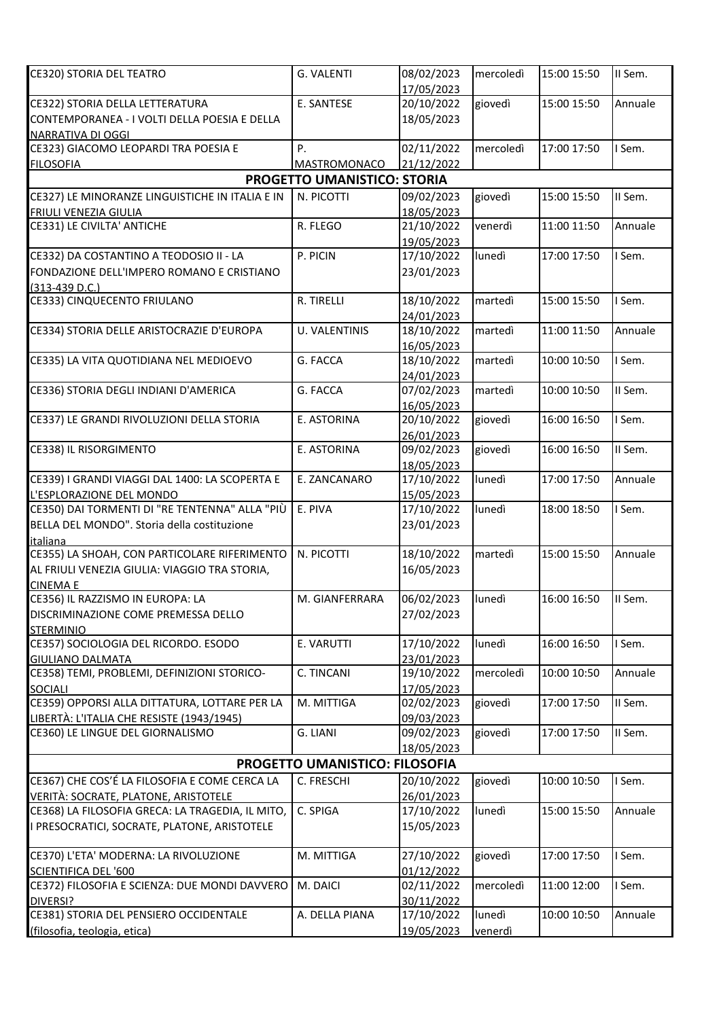| E. SANTESE<br>20/10/2022<br>giovedì<br>15:00 15:50<br>Annuale<br>CE322) STORIA DELLA LETTERATURA<br>CONTEMPORANEA - I VOLTI DELLA POESIA E DELLA<br>18/05/2023<br>NARRATIVA DI OGGI<br>P.<br>02/11/2022<br>CE323) GIACOMO LEOPARDI TRA POESIA E<br>mercoledì<br>17:00 17:50<br>I Sem.<br>21/12/2022<br>MASTROMONACO<br><b>FILOSOFIA</b><br>PROGETTO UMANISTICO: STORIA<br>CE327) LE MINORANZE LINGUISTICHE IN ITALIA E IN<br>N. PICOTTI<br>09/02/2023<br>15:00 15:50<br>II Sem.<br>giovedì<br>18/05/2023<br>FRIULI VENEZIA GIULIA<br>CE331) LE CIVILTA' ANTICHE<br>21/10/2022<br>R. FLEGO<br>venerdì<br>11:00 11:50<br>Annuale<br>19/05/2023<br>I Sem.<br>CE332) DA COSTANTINO A TEODOSIO II - LA<br>P. PICIN<br>17/10/2022<br>lunedì<br>17:00 17:50<br>FONDAZIONE DELL'IMPERO ROMANO E CRISTIANO<br>23/01/2023<br>$(313-439 D.C.)$<br>CE333) CINQUECENTO FRIULANO<br>R. TIRELLI<br>18/10/2022<br>15:00 15:50<br>I Sem.<br>martedì<br>24/01/2023<br>CE334) STORIA DELLE ARISTOCRAZIE D'EUROPA<br><b>U. VALENTINIS</b><br>18/10/2022<br>martedì<br>11:00 11:50<br>Annuale<br>16/05/2023<br>CE335) LA VITA QUOTIDIANA NEL MEDIOEVO<br>G. FACCA<br>I Sem.<br>18/10/2022<br>martedì<br>10:00 10:50<br>24/01/2023<br>II Sem.<br>CE336) STORIA DEGLI INDIANI D'AMERICA<br>G. FACCA<br>07/02/2023<br>martedì<br>10:00 10:50<br>16/05/2023<br>I Sem.<br>E. ASTORINA<br>giovedì<br>16:00 16:50<br>CE337) LE GRANDI RIVOLUZIONI DELLA STORIA<br>20/10/2022<br>26/01/2023<br>II Sem.<br>CE338) IL RISORGIMENTO<br>E. ASTORINA<br>09/02/2023<br>giovedì<br>16:00 16:50<br>18/05/2023<br>CE339) I GRANDI VIAGGI DAL 1400: LA SCOPERTA E<br>E. ZANCANARO<br>17:00 17:50<br>17/10/2022<br>lunedì<br>Annuale<br>L'ESPLORAZIONE DEL MONDO<br>15/05/2023<br>CE350) DAI TORMENTI DI "RE TENTENNA" ALLA "PIÙ<br>E. PIVA<br>I Sem.<br>17/10/2022<br>lunedì<br>18:00 18:50<br>BELLA DEL MONDO". Storia della costituzione<br>23/01/2023<br><i>italiana</i><br>CE355) LA SHOAH, CON PARTICOLARE RIFERIMENTO<br>N. PICOTTI<br>18/10/2022<br>martedì<br>15:00 15:50<br>Annuale<br>AL FRIULI VENEZIA GIULIA: VIAGGIO TRA STORIA,<br>16/05/2023<br><b>CINEMA E</b><br>06/02/2023<br>CE356) IL RAZZISMO IN EUROPA: LA<br>lunedì<br>16:00 16:50<br>II Sem.<br>M. GIANFERRARA<br>27/02/2023<br>DISCRIMINAZIONE COME PREMESSA DELLO<br><b>STERMINIO</b><br>CE357) SOCIOLOGIA DEL RICORDO. ESODO<br>17/10/2022<br>lunedì<br>E. VARUTTI<br>16:00 16:50<br>I Sem.<br>23/01/2023<br><b>GIULIANO DALMATA</b><br>CE358) TEMI, PROBLEMI, DEFINIZIONI STORICO-<br>C. TINCANI<br>19/10/2022<br>10:00 10:50<br>mercoledì<br>Annuale<br>17/05/2023<br>CE359) OPPORSI ALLA DITTATURA, LOTTARE PER LA<br>II Sem.<br>M. MITTIGA<br>giovedì<br>02/02/2023<br>17:00 17:50<br>09/03/2023<br>II Sem.<br>G. LIANI<br>09/02/2023<br>giovedì<br>CE360) LE LINGUE DEL GIORNALISMO<br>17:00 17:50<br>18/05/2023<br>PROGETTO UMANISTICO: FILOSOFIA<br>CE367) CHE COS'É LA FILOSOFIA E COME CERCA LA<br>20/10/2022<br>10:00 10:50<br>I Sem.<br>C. FRESCHI<br>giovedì<br>26/01/2023<br>VERITÀ: SOCRATE, PLATONE, ARISTOTELE<br>CE368) LA FILOSOFIA GRECA: LA TRAGEDIA, IL MITO,<br>C. SPIGA<br>17/10/2022<br>lunedì<br>15:00 15:50<br>Annuale<br>I PRESOCRATICI, SOCRATE, PLATONE, ARISTOTELE<br>15/05/2023<br>CE370) L'ETA' MODERNA: LA RIVOLUZIONE<br>M. MITTIGA<br>27/10/2022<br>giovedì<br>I Sem.<br>17:00 17:50<br>01/12/2022<br><b>SCIENTIFICA DEL '600</b><br>CE372) FILOSOFIA E SCIENZA: DUE MONDI DAVVERO<br>M. DAICI<br>02/11/2022<br>I Sem.<br>mercoledì<br>11:00 12:00<br>DIVERSI?<br>30/11/2022<br>CE381) STORIA DEL PENSIERO OCCIDENTALE<br>A. DELLA PIANA<br>17/10/2022<br>lunedì<br>10:00 10:50<br>Annuale<br>19/05/2023<br>venerdì | <b>CE320) STORIA DEL TEATRO</b>           | <b>G. VALENTI</b> | 08/02/2023 | mercoledì | 15:00 15:50 | II Sem. |
|--------------------------------------------------------------------------------------------------------------------------------------------------------------------------------------------------------------------------------------------------------------------------------------------------------------------------------------------------------------------------------------------------------------------------------------------------------------------------------------------------------------------------------------------------------------------------------------------------------------------------------------------------------------------------------------------------------------------------------------------------------------------------------------------------------------------------------------------------------------------------------------------------------------------------------------------------------------------------------------------------------------------------------------------------------------------------------------------------------------------------------------------------------------------------------------------------------------------------------------------------------------------------------------------------------------------------------------------------------------------------------------------------------------------------------------------------------------------------------------------------------------------------------------------------------------------------------------------------------------------------------------------------------------------------------------------------------------------------------------------------------------------------------------------------------------------------------------------------------------------------------------------------------------------------------------------------------------------------------------------------------------------------------------------------------------------------------------------------------------------------------------------------------------------------------------------------------------------------------------------------------------------------------------------------------------------------------------------------------------------------------------------------------------------------------------------------------------------------------------------------------------------------------------------------------------------------------------------------------------------------------------------------------------------------------------------------------------------------------------------------------------------------------------------------------------------------------------------------------------------------------------------------------------------------------------------------------------------------------------------------------------------------------------------------------------------------------------------------------------------------------------------------------------------------------------------------------------------------------------------------------------------------------------------------------------------------------------------------------------------------------------------------------------------------------------------------------------------------------------------------------------------------------------------------------------------------------------------------------------------------------------------------------------------------------------------|-------------------------------------------|-------------------|------------|-----------|-------------|---------|
|                                                                                                                                                                                                                                                                                                                                                                                                                                                                                                                                                                                                                                                                                                                                                                                                                                                                                                                                                                                                                                                                                                                                                                                                                                                                                                                                                                                                                                                                                                                                                                                                                                                                                                                                                                                                                                                                                                                                                                                                                                                                                                                                                                                                                                                                                                                                                                                                                                                                                                                                                                                                                                                                                                                                                                                                                                                                                                                                                                                                                                                                                                                                                                                                                                                                                                                                                                                                                                                                                                                                                                                                                                                                                            |                                           |                   | 17/05/2023 |           |             |         |
|                                                                                                                                                                                                                                                                                                                                                                                                                                                                                                                                                                                                                                                                                                                                                                                                                                                                                                                                                                                                                                                                                                                                                                                                                                                                                                                                                                                                                                                                                                                                                                                                                                                                                                                                                                                                                                                                                                                                                                                                                                                                                                                                                                                                                                                                                                                                                                                                                                                                                                                                                                                                                                                                                                                                                                                                                                                                                                                                                                                                                                                                                                                                                                                                                                                                                                                                                                                                                                                                                                                                                                                                                                                                                            |                                           |                   |            |           |             |         |
|                                                                                                                                                                                                                                                                                                                                                                                                                                                                                                                                                                                                                                                                                                                                                                                                                                                                                                                                                                                                                                                                                                                                                                                                                                                                                                                                                                                                                                                                                                                                                                                                                                                                                                                                                                                                                                                                                                                                                                                                                                                                                                                                                                                                                                                                                                                                                                                                                                                                                                                                                                                                                                                                                                                                                                                                                                                                                                                                                                                                                                                                                                                                                                                                                                                                                                                                                                                                                                                                                                                                                                                                                                                                                            |                                           |                   |            |           |             |         |
|                                                                                                                                                                                                                                                                                                                                                                                                                                                                                                                                                                                                                                                                                                                                                                                                                                                                                                                                                                                                                                                                                                                                                                                                                                                                                                                                                                                                                                                                                                                                                                                                                                                                                                                                                                                                                                                                                                                                                                                                                                                                                                                                                                                                                                                                                                                                                                                                                                                                                                                                                                                                                                                                                                                                                                                                                                                                                                                                                                                                                                                                                                                                                                                                                                                                                                                                                                                                                                                                                                                                                                                                                                                                                            |                                           |                   |            |           |             |         |
|                                                                                                                                                                                                                                                                                                                                                                                                                                                                                                                                                                                                                                                                                                                                                                                                                                                                                                                                                                                                                                                                                                                                                                                                                                                                                                                                                                                                                                                                                                                                                                                                                                                                                                                                                                                                                                                                                                                                                                                                                                                                                                                                                                                                                                                                                                                                                                                                                                                                                                                                                                                                                                                                                                                                                                                                                                                                                                                                                                                                                                                                                                                                                                                                                                                                                                                                                                                                                                                                                                                                                                                                                                                                                            |                                           |                   |            |           |             |         |
|                                                                                                                                                                                                                                                                                                                                                                                                                                                                                                                                                                                                                                                                                                                                                                                                                                                                                                                                                                                                                                                                                                                                                                                                                                                                                                                                                                                                                                                                                                                                                                                                                                                                                                                                                                                                                                                                                                                                                                                                                                                                                                                                                                                                                                                                                                                                                                                                                                                                                                                                                                                                                                                                                                                                                                                                                                                                                                                                                                                                                                                                                                                                                                                                                                                                                                                                                                                                                                                                                                                                                                                                                                                                                            |                                           |                   |            |           |             |         |
|                                                                                                                                                                                                                                                                                                                                                                                                                                                                                                                                                                                                                                                                                                                                                                                                                                                                                                                                                                                                                                                                                                                                                                                                                                                                                                                                                                                                                                                                                                                                                                                                                                                                                                                                                                                                                                                                                                                                                                                                                                                                                                                                                                                                                                                                                                                                                                                                                                                                                                                                                                                                                                                                                                                                                                                                                                                                                                                                                                                                                                                                                                                                                                                                                                                                                                                                                                                                                                                                                                                                                                                                                                                                                            |                                           |                   |            |           |             |         |
|                                                                                                                                                                                                                                                                                                                                                                                                                                                                                                                                                                                                                                                                                                                                                                                                                                                                                                                                                                                                                                                                                                                                                                                                                                                                                                                                                                                                                                                                                                                                                                                                                                                                                                                                                                                                                                                                                                                                                                                                                                                                                                                                                                                                                                                                                                                                                                                                                                                                                                                                                                                                                                                                                                                                                                                                                                                                                                                                                                                                                                                                                                                                                                                                                                                                                                                                                                                                                                                                                                                                                                                                                                                                                            |                                           |                   |            |           |             |         |
|                                                                                                                                                                                                                                                                                                                                                                                                                                                                                                                                                                                                                                                                                                                                                                                                                                                                                                                                                                                                                                                                                                                                                                                                                                                                                                                                                                                                                                                                                                                                                                                                                                                                                                                                                                                                                                                                                                                                                                                                                                                                                                                                                                                                                                                                                                                                                                                                                                                                                                                                                                                                                                                                                                                                                                                                                                                                                                                                                                                                                                                                                                                                                                                                                                                                                                                                                                                                                                                                                                                                                                                                                                                                                            |                                           |                   |            |           |             |         |
|                                                                                                                                                                                                                                                                                                                                                                                                                                                                                                                                                                                                                                                                                                                                                                                                                                                                                                                                                                                                                                                                                                                                                                                                                                                                                                                                                                                                                                                                                                                                                                                                                                                                                                                                                                                                                                                                                                                                                                                                                                                                                                                                                                                                                                                                                                                                                                                                                                                                                                                                                                                                                                                                                                                                                                                                                                                                                                                                                                                                                                                                                                                                                                                                                                                                                                                                                                                                                                                                                                                                                                                                                                                                                            |                                           |                   |            |           |             |         |
|                                                                                                                                                                                                                                                                                                                                                                                                                                                                                                                                                                                                                                                                                                                                                                                                                                                                                                                                                                                                                                                                                                                                                                                                                                                                                                                                                                                                                                                                                                                                                                                                                                                                                                                                                                                                                                                                                                                                                                                                                                                                                                                                                                                                                                                                                                                                                                                                                                                                                                                                                                                                                                                                                                                                                                                                                                                                                                                                                                                                                                                                                                                                                                                                                                                                                                                                                                                                                                                                                                                                                                                                                                                                                            |                                           |                   |            |           |             |         |
|                                                                                                                                                                                                                                                                                                                                                                                                                                                                                                                                                                                                                                                                                                                                                                                                                                                                                                                                                                                                                                                                                                                                                                                                                                                                                                                                                                                                                                                                                                                                                                                                                                                                                                                                                                                                                                                                                                                                                                                                                                                                                                                                                                                                                                                                                                                                                                                                                                                                                                                                                                                                                                                                                                                                                                                                                                                                                                                                                                                                                                                                                                                                                                                                                                                                                                                                                                                                                                                                                                                                                                                                                                                                                            |                                           |                   |            |           |             |         |
|                                                                                                                                                                                                                                                                                                                                                                                                                                                                                                                                                                                                                                                                                                                                                                                                                                                                                                                                                                                                                                                                                                                                                                                                                                                                                                                                                                                                                                                                                                                                                                                                                                                                                                                                                                                                                                                                                                                                                                                                                                                                                                                                                                                                                                                                                                                                                                                                                                                                                                                                                                                                                                                                                                                                                                                                                                                                                                                                                                                                                                                                                                                                                                                                                                                                                                                                                                                                                                                                                                                                                                                                                                                                                            |                                           |                   |            |           |             |         |
|                                                                                                                                                                                                                                                                                                                                                                                                                                                                                                                                                                                                                                                                                                                                                                                                                                                                                                                                                                                                                                                                                                                                                                                                                                                                                                                                                                                                                                                                                                                                                                                                                                                                                                                                                                                                                                                                                                                                                                                                                                                                                                                                                                                                                                                                                                                                                                                                                                                                                                                                                                                                                                                                                                                                                                                                                                                                                                                                                                                                                                                                                                                                                                                                                                                                                                                                                                                                                                                                                                                                                                                                                                                                                            |                                           |                   |            |           |             |         |
|                                                                                                                                                                                                                                                                                                                                                                                                                                                                                                                                                                                                                                                                                                                                                                                                                                                                                                                                                                                                                                                                                                                                                                                                                                                                                                                                                                                                                                                                                                                                                                                                                                                                                                                                                                                                                                                                                                                                                                                                                                                                                                                                                                                                                                                                                                                                                                                                                                                                                                                                                                                                                                                                                                                                                                                                                                                                                                                                                                                                                                                                                                                                                                                                                                                                                                                                                                                                                                                                                                                                                                                                                                                                                            |                                           |                   |            |           |             |         |
|                                                                                                                                                                                                                                                                                                                                                                                                                                                                                                                                                                                                                                                                                                                                                                                                                                                                                                                                                                                                                                                                                                                                                                                                                                                                                                                                                                                                                                                                                                                                                                                                                                                                                                                                                                                                                                                                                                                                                                                                                                                                                                                                                                                                                                                                                                                                                                                                                                                                                                                                                                                                                                                                                                                                                                                                                                                                                                                                                                                                                                                                                                                                                                                                                                                                                                                                                                                                                                                                                                                                                                                                                                                                                            |                                           |                   |            |           |             |         |
|                                                                                                                                                                                                                                                                                                                                                                                                                                                                                                                                                                                                                                                                                                                                                                                                                                                                                                                                                                                                                                                                                                                                                                                                                                                                                                                                                                                                                                                                                                                                                                                                                                                                                                                                                                                                                                                                                                                                                                                                                                                                                                                                                                                                                                                                                                                                                                                                                                                                                                                                                                                                                                                                                                                                                                                                                                                                                                                                                                                                                                                                                                                                                                                                                                                                                                                                                                                                                                                                                                                                                                                                                                                                                            |                                           |                   |            |           |             |         |
|                                                                                                                                                                                                                                                                                                                                                                                                                                                                                                                                                                                                                                                                                                                                                                                                                                                                                                                                                                                                                                                                                                                                                                                                                                                                                                                                                                                                                                                                                                                                                                                                                                                                                                                                                                                                                                                                                                                                                                                                                                                                                                                                                                                                                                                                                                                                                                                                                                                                                                                                                                                                                                                                                                                                                                                                                                                                                                                                                                                                                                                                                                                                                                                                                                                                                                                                                                                                                                                                                                                                                                                                                                                                                            |                                           |                   |            |           |             |         |
|                                                                                                                                                                                                                                                                                                                                                                                                                                                                                                                                                                                                                                                                                                                                                                                                                                                                                                                                                                                                                                                                                                                                                                                                                                                                                                                                                                                                                                                                                                                                                                                                                                                                                                                                                                                                                                                                                                                                                                                                                                                                                                                                                                                                                                                                                                                                                                                                                                                                                                                                                                                                                                                                                                                                                                                                                                                                                                                                                                                                                                                                                                                                                                                                                                                                                                                                                                                                                                                                                                                                                                                                                                                                                            |                                           |                   |            |           |             |         |
|                                                                                                                                                                                                                                                                                                                                                                                                                                                                                                                                                                                                                                                                                                                                                                                                                                                                                                                                                                                                                                                                                                                                                                                                                                                                                                                                                                                                                                                                                                                                                                                                                                                                                                                                                                                                                                                                                                                                                                                                                                                                                                                                                                                                                                                                                                                                                                                                                                                                                                                                                                                                                                                                                                                                                                                                                                                                                                                                                                                                                                                                                                                                                                                                                                                                                                                                                                                                                                                                                                                                                                                                                                                                                            |                                           |                   |            |           |             |         |
|                                                                                                                                                                                                                                                                                                                                                                                                                                                                                                                                                                                                                                                                                                                                                                                                                                                                                                                                                                                                                                                                                                                                                                                                                                                                                                                                                                                                                                                                                                                                                                                                                                                                                                                                                                                                                                                                                                                                                                                                                                                                                                                                                                                                                                                                                                                                                                                                                                                                                                                                                                                                                                                                                                                                                                                                                                                                                                                                                                                                                                                                                                                                                                                                                                                                                                                                                                                                                                                                                                                                                                                                                                                                                            |                                           |                   |            |           |             |         |
|                                                                                                                                                                                                                                                                                                                                                                                                                                                                                                                                                                                                                                                                                                                                                                                                                                                                                                                                                                                                                                                                                                                                                                                                                                                                                                                                                                                                                                                                                                                                                                                                                                                                                                                                                                                                                                                                                                                                                                                                                                                                                                                                                                                                                                                                                                                                                                                                                                                                                                                                                                                                                                                                                                                                                                                                                                                                                                                                                                                                                                                                                                                                                                                                                                                                                                                                                                                                                                                                                                                                                                                                                                                                                            |                                           |                   |            |           |             |         |
|                                                                                                                                                                                                                                                                                                                                                                                                                                                                                                                                                                                                                                                                                                                                                                                                                                                                                                                                                                                                                                                                                                                                                                                                                                                                                                                                                                                                                                                                                                                                                                                                                                                                                                                                                                                                                                                                                                                                                                                                                                                                                                                                                                                                                                                                                                                                                                                                                                                                                                                                                                                                                                                                                                                                                                                                                                                                                                                                                                                                                                                                                                                                                                                                                                                                                                                                                                                                                                                                                                                                                                                                                                                                                            |                                           |                   |            |           |             |         |
|                                                                                                                                                                                                                                                                                                                                                                                                                                                                                                                                                                                                                                                                                                                                                                                                                                                                                                                                                                                                                                                                                                                                                                                                                                                                                                                                                                                                                                                                                                                                                                                                                                                                                                                                                                                                                                                                                                                                                                                                                                                                                                                                                                                                                                                                                                                                                                                                                                                                                                                                                                                                                                                                                                                                                                                                                                                                                                                                                                                                                                                                                                                                                                                                                                                                                                                                                                                                                                                                                                                                                                                                                                                                                            |                                           |                   |            |           |             |         |
|                                                                                                                                                                                                                                                                                                                                                                                                                                                                                                                                                                                                                                                                                                                                                                                                                                                                                                                                                                                                                                                                                                                                                                                                                                                                                                                                                                                                                                                                                                                                                                                                                                                                                                                                                                                                                                                                                                                                                                                                                                                                                                                                                                                                                                                                                                                                                                                                                                                                                                                                                                                                                                                                                                                                                                                                                                                                                                                                                                                                                                                                                                                                                                                                                                                                                                                                                                                                                                                                                                                                                                                                                                                                                            |                                           |                   |            |           |             |         |
|                                                                                                                                                                                                                                                                                                                                                                                                                                                                                                                                                                                                                                                                                                                                                                                                                                                                                                                                                                                                                                                                                                                                                                                                                                                                                                                                                                                                                                                                                                                                                                                                                                                                                                                                                                                                                                                                                                                                                                                                                                                                                                                                                                                                                                                                                                                                                                                                                                                                                                                                                                                                                                                                                                                                                                                                                                                                                                                                                                                                                                                                                                                                                                                                                                                                                                                                                                                                                                                                                                                                                                                                                                                                                            |                                           |                   |            |           |             |         |
|                                                                                                                                                                                                                                                                                                                                                                                                                                                                                                                                                                                                                                                                                                                                                                                                                                                                                                                                                                                                                                                                                                                                                                                                                                                                                                                                                                                                                                                                                                                                                                                                                                                                                                                                                                                                                                                                                                                                                                                                                                                                                                                                                                                                                                                                                                                                                                                                                                                                                                                                                                                                                                                                                                                                                                                                                                                                                                                                                                                                                                                                                                                                                                                                                                                                                                                                                                                                                                                                                                                                                                                                                                                                                            |                                           |                   |            |           |             |         |
|                                                                                                                                                                                                                                                                                                                                                                                                                                                                                                                                                                                                                                                                                                                                                                                                                                                                                                                                                                                                                                                                                                                                                                                                                                                                                                                                                                                                                                                                                                                                                                                                                                                                                                                                                                                                                                                                                                                                                                                                                                                                                                                                                                                                                                                                                                                                                                                                                                                                                                                                                                                                                                                                                                                                                                                                                                                                                                                                                                                                                                                                                                                                                                                                                                                                                                                                                                                                                                                                                                                                                                                                                                                                                            |                                           |                   |            |           |             |         |
|                                                                                                                                                                                                                                                                                                                                                                                                                                                                                                                                                                                                                                                                                                                                                                                                                                                                                                                                                                                                                                                                                                                                                                                                                                                                                                                                                                                                                                                                                                                                                                                                                                                                                                                                                                                                                                                                                                                                                                                                                                                                                                                                                                                                                                                                                                                                                                                                                                                                                                                                                                                                                                                                                                                                                                                                                                                                                                                                                                                                                                                                                                                                                                                                                                                                                                                                                                                                                                                                                                                                                                                                                                                                                            |                                           |                   |            |           |             |         |
|                                                                                                                                                                                                                                                                                                                                                                                                                                                                                                                                                                                                                                                                                                                                                                                                                                                                                                                                                                                                                                                                                                                                                                                                                                                                                                                                                                                                                                                                                                                                                                                                                                                                                                                                                                                                                                                                                                                                                                                                                                                                                                                                                                                                                                                                                                                                                                                                                                                                                                                                                                                                                                                                                                                                                                                                                                                                                                                                                                                                                                                                                                                                                                                                                                                                                                                                                                                                                                                                                                                                                                                                                                                                                            |                                           |                   |            |           |             |         |
|                                                                                                                                                                                                                                                                                                                                                                                                                                                                                                                                                                                                                                                                                                                                                                                                                                                                                                                                                                                                                                                                                                                                                                                                                                                                                                                                                                                                                                                                                                                                                                                                                                                                                                                                                                                                                                                                                                                                                                                                                                                                                                                                                                                                                                                                                                                                                                                                                                                                                                                                                                                                                                                                                                                                                                                                                                                                                                                                                                                                                                                                                                                                                                                                                                                                                                                                                                                                                                                                                                                                                                                                                                                                                            |                                           |                   |            |           |             |         |
|                                                                                                                                                                                                                                                                                                                                                                                                                                                                                                                                                                                                                                                                                                                                                                                                                                                                                                                                                                                                                                                                                                                                                                                                                                                                                                                                                                                                                                                                                                                                                                                                                                                                                                                                                                                                                                                                                                                                                                                                                                                                                                                                                                                                                                                                                                                                                                                                                                                                                                                                                                                                                                                                                                                                                                                                                                                                                                                                                                                                                                                                                                                                                                                                                                                                                                                                                                                                                                                                                                                                                                                                                                                                                            |                                           |                   |            |           |             |         |
|                                                                                                                                                                                                                                                                                                                                                                                                                                                                                                                                                                                                                                                                                                                                                                                                                                                                                                                                                                                                                                                                                                                                                                                                                                                                                                                                                                                                                                                                                                                                                                                                                                                                                                                                                                                                                                                                                                                                                                                                                                                                                                                                                                                                                                                                                                                                                                                                                                                                                                                                                                                                                                                                                                                                                                                                                                                                                                                                                                                                                                                                                                                                                                                                                                                                                                                                                                                                                                                                                                                                                                                                                                                                                            |                                           |                   |            |           |             |         |
|                                                                                                                                                                                                                                                                                                                                                                                                                                                                                                                                                                                                                                                                                                                                                                                                                                                                                                                                                                                                                                                                                                                                                                                                                                                                                                                                                                                                                                                                                                                                                                                                                                                                                                                                                                                                                                                                                                                                                                                                                                                                                                                                                                                                                                                                                                                                                                                                                                                                                                                                                                                                                                                                                                                                                                                                                                                                                                                                                                                                                                                                                                                                                                                                                                                                                                                                                                                                                                                                                                                                                                                                                                                                                            |                                           |                   |            |           |             |         |
|                                                                                                                                                                                                                                                                                                                                                                                                                                                                                                                                                                                                                                                                                                                                                                                                                                                                                                                                                                                                                                                                                                                                                                                                                                                                                                                                                                                                                                                                                                                                                                                                                                                                                                                                                                                                                                                                                                                                                                                                                                                                                                                                                                                                                                                                                                                                                                                                                                                                                                                                                                                                                                                                                                                                                                                                                                                                                                                                                                                                                                                                                                                                                                                                                                                                                                                                                                                                                                                                                                                                                                                                                                                                                            |                                           |                   |            |           |             |         |
|                                                                                                                                                                                                                                                                                                                                                                                                                                                                                                                                                                                                                                                                                                                                                                                                                                                                                                                                                                                                                                                                                                                                                                                                                                                                                                                                                                                                                                                                                                                                                                                                                                                                                                                                                                                                                                                                                                                                                                                                                                                                                                                                                                                                                                                                                                                                                                                                                                                                                                                                                                                                                                                                                                                                                                                                                                                                                                                                                                                                                                                                                                                                                                                                                                                                                                                                                                                                                                                                                                                                                                                                                                                                                            |                                           |                   |            |           |             |         |
|                                                                                                                                                                                                                                                                                                                                                                                                                                                                                                                                                                                                                                                                                                                                                                                                                                                                                                                                                                                                                                                                                                                                                                                                                                                                                                                                                                                                                                                                                                                                                                                                                                                                                                                                                                                                                                                                                                                                                                                                                                                                                                                                                                                                                                                                                                                                                                                                                                                                                                                                                                                                                                                                                                                                                                                                                                                                                                                                                                                                                                                                                                                                                                                                                                                                                                                                                                                                                                                                                                                                                                                                                                                                                            |                                           |                   |            |           |             |         |
|                                                                                                                                                                                                                                                                                                                                                                                                                                                                                                                                                                                                                                                                                                                                                                                                                                                                                                                                                                                                                                                                                                                                                                                                                                                                                                                                                                                                                                                                                                                                                                                                                                                                                                                                                                                                                                                                                                                                                                                                                                                                                                                                                                                                                                                                                                                                                                                                                                                                                                                                                                                                                                                                                                                                                                                                                                                                                                                                                                                                                                                                                                                                                                                                                                                                                                                                                                                                                                                                                                                                                                                                                                                                                            |                                           |                   |            |           |             |         |
|                                                                                                                                                                                                                                                                                                                                                                                                                                                                                                                                                                                                                                                                                                                                                                                                                                                                                                                                                                                                                                                                                                                                                                                                                                                                                                                                                                                                                                                                                                                                                                                                                                                                                                                                                                                                                                                                                                                                                                                                                                                                                                                                                                                                                                                                                                                                                                                                                                                                                                                                                                                                                                                                                                                                                                                                                                                                                                                                                                                                                                                                                                                                                                                                                                                                                                                                                                                                                                                                                                                                                                                                                                                                                            | <b>SOCIALI</b>                            |                   |            |           |             |         |
|                                                                                                                                                                                                                                                                                                                                                                                                                                                                                                                                                                                                                                                                                                                                                                                                                                                                                                                                                                                                                                                                                                                                                                                                                                                                                                                                                                                                                                                                                                                                                                                                                                                                                                                                                                                                                                                                                                                                                                                                                                                                                                                                                                                                                                                                                                                                                                                                                                                                                                                                                                                                                                                                                                                                                                                                                                                                                                                                                                                                                                                                                                                                                                                                                                                                                                                                                                                                                                                                                                                                                                                                                                                                                            |                                           |                   |            |           |             |         |
|                                                                                                                                                                                                                                                                                                                                                                                                                                                                                                                                                                                                                                                                                                                                                                                                                                                                                                                                                                                                                                                                                                                                                                                                                                                                                                                                                                                                                                                                                                                                                                                                                                                                                                                                                                                                                                                                                                                                                                                                                                                                                                                                                                                                                                                                                                                                                                                                                                                                                                                                                                                                                                                                                                                                                                                                                                                                                                                                                                                                                                                                                                                                                                                                                                                                                                                                                                                                                                                                                                                                                                                                                                                                                            | LIBERTÀ: L'ITALIA CHE RESISTE (1943/1945) |                   |            |           |             |         |
|                                                                                                                                                                                                                                                                                                                                                                                                                                                                                                                                                                                                                                                                                                                                                                                                                                                                                                                                                                                                                                                                                                                                                                                                                                                                                                                                                                                                                                                                                                                                                                                                                                                                                                                                                                                                                                                                                                                                                                                                                                                                                                                                                                                                                                                                                                                                                                                                                                                                                                                                                                                                                                                                                                                                                                                                                                                                                                                                                                                                                                                                                                                                                                                                                                                                                                                                                                                                                                                                                                                                                                                                                                                                                            |                                           |                   |            |           |             |         |
|                                                                                                                                                                                                                                                                                                                                                                                                                                                                                                                                                                                                                                                                                                                                                                                                                                                                                                                                                                                                                                                                                                                                                                                                                                                                                                                                                                                                                                                                                                                                                                                                                                                                                                                                                                                                                                                                                                                                                                                                                                                                                                                                                                                                                                                                                                                                                                                                                                                                                                                                                                                                                                                                                                                                                                                                                                                                                                                                                                                                                                                                                                                                                                                                                                                                                                                                                                                                                                                                                                                                                                                                                                                                                            |                                           |                   |            |           |             |         |
|                                                                                                                                                                                                                                                                                                                                                                                                                                                                                                                                                                                                                                                                                                                                                                                                                                                                                                                                                                                                                                                                                                                                                                                                                                                                                                                                                                                                                                                                                                                                                                                                                                                                                                                                                                                                                                                                                                                                                                                                                                                                                                                                                                                                                                                                                                                                                                                                                                                                                                                                                                                                                                                                                                                                                                                                                                                                                                                                                                                                                                                                                                                                                                                                                                                                                                                                                                                                                                                                                                                                                                                                                                                                                            |                                           |                   |            |           |             |         |
|                                                                                                                                                                                                                                                                                                                                                                                                                                                                                                                                                                                                                                                                                                                                                                                                                                                                                                                                                                                                                                                                                                                                                                                                                                                                                                                                                                                                                                                                                                                                                                                                                                                                                                                                                                                                                                                                                                                                                                                                                                                                                                                                                                                                                                                                                                                                                                                                                                                                                                                                                                                                                                                                                                                                                                                                                                                                                                                                                                                                                                                                                                                                                                                                                                                                                                                                                                                                                                                                                                                                                                                                                                                                                            |                                           |                   |            |           |             |         |
|                                                                                                                                                                                                                                                                                                                                                                                                                                                                                                                                                                                                                                                                                                                                                                                                                                                                                                                                                                                                                                                                                                                                                                                                                                                                                                                                                                                                                                                                                                                                                                                                                                                                                                                                                                                                                                                                                                                                                                                                                                                                                                                                                                                                                                                                                                                                                                                                                                                                                                                                                                                                                                                                                                                                                                                                                                                                                                                                                                                                                                                                                                                                                                                                                                                                                                                                                                                                                                                                                                                                                                                                                                                                                            |                                           |                   |            |           |             |         |
|                                                                                                                                                                                                                                                                                                                                                                                                                                                                                                                                                                                                                                                                                                                                                                                                                                                                                                                                                                                                                                                                                                                                                                                                                                                                                                                                                                                                                                                                                                                                                                                                                                                                                                                                                                                                                                                                                                                                                                                                                                                                                                                                                                                                                                                                                                                                                                                                                                                                                                                                                                                                                                                                                                                                                                                                                                                                                                                                                                                                                                                                                                                                                                                                                                                                                                                                                                                                                                                                                                                                                                                                                                                                                            |                                           |                   |            |           |             |         |
|                                                                                                                                                                                                                                                                                                                                                                                                                                                                                                                                                                                                                                                                                                                                                                                                                                                                                                                                                                                                                                                                                                                                                                                                                                                                                                                                                                                                                                                                                                                                                                                                                                                                                                                                                                                                                                                                                                                                                                                                                                                                                                                                                                                                                                                                                                                                                                                                                                                                                                                                                                                                                                                                                                                                                                                                                                                                                                                                                                                                                                                                                                                                                                                                                                                                                                                                                                                                                                                                                                                                                                                                                                                                                            |                                           |                   |            |           |             |         |
|                                                                                                                                                                                                                                                                                                                                                                                                                                                                                                                                                                                                                                                                                                                                                                                                                                                                                                                                                                                                                                                                                                                                                                                                                                                                                                                                                                                                                                                                                                                                                                                                                                                                                                                                                                                                                                                                                                                                                                                                                                                                                                                                                                                                                                                                                                                                                                                                                                                                                                                                                                                                                                                                                                                                                                                                                                                                                                                                                                                                                                                                                                                                                                                                                                                                                                                                                                                                                                                                                                                                                                                                                                                                                            |                                           |                   |            |           |             |         |
|                                                                                                                                                                                                                                                                                                                                                                                                                                                                                                                                                                                                                                                                                                                                                                                                                                                                                                                                                                                                                                                                                                                                                                                                                                                                                                                                                                                                                                                                                                                                                                                                                                                                                                                                                                                                                                                                                                                                                                                                                                                                                                                                                                                                                                                                                                                                                                                                                                                                                                                                                                                                                                                                                                                                                                                                                                                                                                                                                                                                                                                                                                                                                                                                                                                                                                                                                                                                                                                                                                                                                                                                                                                                                            |                                           |                   |            |           |             |         |
|                                                                                                                                                                                                                                                                                                                                                                                                                                                                                                                                                                                                                                                                                                                                                                                                                                                                                                                                                                                                                                                                                                                                                                                                                                                                                                                                                                                                                                                                                                                                                                                                                                                                                                                                                                                                                                                                                                                                                                                                                                                                                                                                                                                                                                                                                                                                                                                                                                                                                                                                                                                                                                                                                                                                                                                                                                                                                                                                                                                                                                                                                                                                                                                                                                                                                                                                                                                                                                                                                                                                                                                                                                                                                            |                                           |                   |            |           |             |         |
|                                                                                                                                                                                                                                                                                                                                                                                                                                                                                                                                                                                                                                                                                                                                                                                                                                                                                                                                                                                                                                                                                                                                                                                                                                                                                                                                                                                                                                                                                                                                                                                                                                                                                                                                                                                                                                                                                                                                                                                                                                                                                                                                                                                                                                                                                                                                                                                                                                                                                                                                                                                                                                                                                                                                                                                                                                                                                                                                                                                                                                                                                                                                                                                                                                                                                                                                                                                                                                                                                                                                                                                                                                                                                            |                                           |                   |            |           |             |         |
|                                                                                                                                                                                                                                                                                                                                                                                                                                                                                                                                                                                                                                                                                                                                                                                                                                                                                                                                                                                                                                                                                                                                                                                                                                                                                                                                                                                                                                                                                                                                                                                                                                                                                                                                                                                                                                                                                                                                                                                                                                                                                                                                                                                                                                                                                                                                                                                                                                                                                                                                                                                                                                                                                                                                                                                                                                                                                                                                                                                                                                                                                                                                                                                                                                                                                                                                                                                                                                                                                                                                                                                                                                                                                            |                                           |                   |            |           |             |         |
|                                                                                                                                                                                                                                                                                                                                                                                                                                                                                                                                                                                                                                                                                                                                                                                                                                                                                                                                                                                                                                                                                                                                                                                                                                                                                                                                                                                                                                                                                                                                                                                                                                                                                                                                                                                                                                                                                                                                                                                                                                                                                                                                                                                                                                                                                                                                                                                                                                                                                                                                                                                                                                                                                                                                                                                                                                                                                                                                                                                                                                                                                                                                                                                                                                                                                                                                                                                                                                                                                                                                                                                                                                                                                            | (filosofia, teologia, etica)              |                   |            |           |             |         |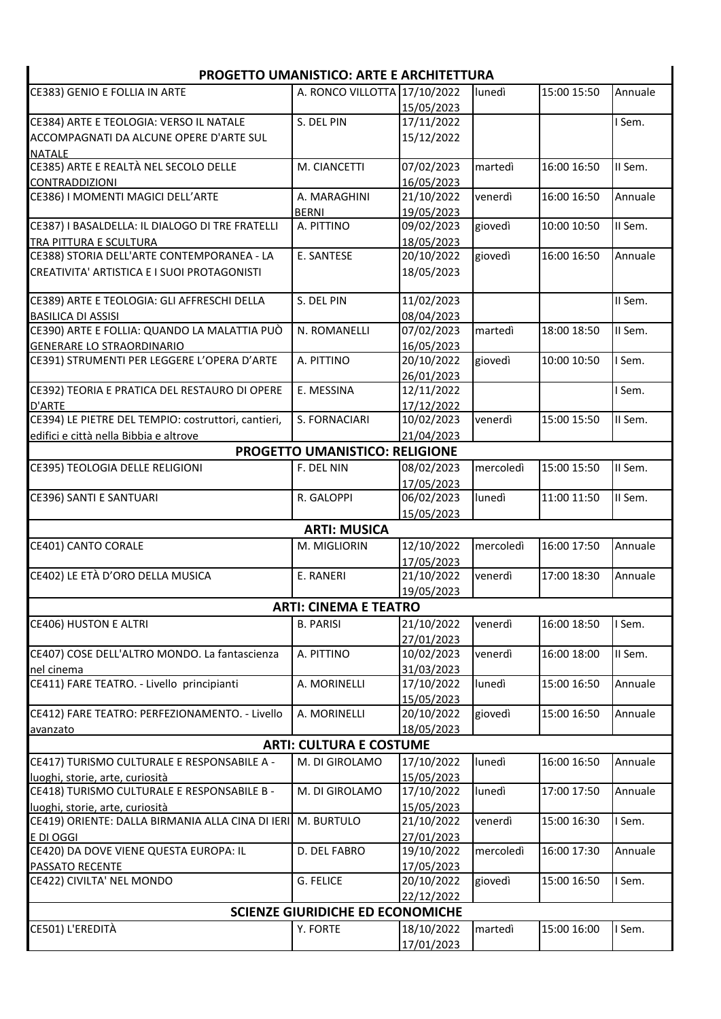| <b>PROGETTO UMANISTICO: ARTE E ARCHITETTURA</b>     |                                         |            |           |             |         |  |  |
|-----------------------------------------------------|-----------------------------------------|------------|-----------|-------------|---------|--|--|
| CE383) GENIO E FOLLIA IN ARTE                       | A. RONCO VILLOTTA 17/10/2022            |            | lunedì    | 15:00 15:50 | Annuale |  |  |
|                                                     |                                         | 15/05/2023 |           |             |         |  |  |
| CE384) ARTE E TEOLOGIA: VERSO IL NATALE             | S. DEL PIN                              | 17/11/2022 |           |             | I Sem.  |  |  |
| ACCOMPAGNATI DA ALCUNE OPERE D'ARTE SUL             |                                         | 15/12/2022 |           |             |         |  |  |
| <b>NATALE</b>                                       |                                         |            |           |             |         |  |  |
| CE385) ARTE E REALTÀ NEL SECOLO DELLE               | M. CIANCETTI                            | 07/02/2023 | martedì   | 16:00 16:50 | II Sem. |  |  |
| <b>CONTRADDIZIONI</b>                               |                                         | 16/05/2023 |           |             |         |  |  |
| CE386) I MOMENTI MAGICI DELL'ARTE                   | A. MARAGHINI                            | 21/10/2022 | venerdì   | 16:00 16:50 | Annuale |  |  |
|                                                     | <b>BERNI</b>                            | 19/05/2023 |           |             |         |  |  |
| CE387) I BASALDELLA: IL DIALOGO DI TRE FRATELLI     | A. PITTINO                              | 09/02/2023 | giovedì   | 10:00 10:50 | II Sem. |  |  |
| TRA PITTURA E SCULTURA                              |                                         | 18/05/2023 |           |             |         |  |  |
| CE388) STORIA DELL'ARTE CONTEMPORANEA - LA          | E. SANTESE                              | 20/10/2022 | giovedì   | 16:00 16:50 | Annuale |  |  |
| CREATIVITA' ARTISTICA E I SUOI PROTAGONISTI         |                                         | 18/05/2023 |           |             |         |  |  |
| CE389) ARTE E TEOLOGIA: GLI AFFRESCHI DELLA         | S. DEL PIN                              | 11/02/2023 |           |             | II Sem. |  |  |
| <b>BASILICA DI ASSISI</b>                           |                                         | 08/04/2023 |           |             |         |  |  |
| CE390) ARTE E FOLLIA: QUANDO LA MALATTIA PUÒ        | N. ROMANELLI                            | 07/02/2023 | martedì   | 18:00 18:50 | II Sem. |  |  |
| <b>GENERARE LO STRAORDINARIO</b>                    |                                         | 16/05/2023 |           |             |         |  |  |
| CE391) STRUMENTI PER LEGGERE L'OPERA D'ARTE         | A. PITTINO                              | 20/10/2022 | giovedì   | 10:00 10:50 | I Sem.  |  |  |
|                                                     |                                         | 26/01/2023 |           |             |         |  |  |
| CE392) TEORIA E PRATICA DEL RESTAURO DI OPERE       | E. MESSINA                              | 12/11/2022 |           |             | I Sem.  |  |  |
| D'ARTE                                              |                                         | 17/12/2022 |           |             |         |  |  |
| CE394) LE PIETRE DEL TEMPIO: costruttori, cantieri, | S. FORNACIARI                           | 10/02/2023 | venerdì   | 15:00 15:50 | II Sem. |  |  |
| edifici e città nella Bibbia e altrove              |                                         | 21/04/2023 |           |             |         |  |  |
|                                                     | <b>PROGETTO UMANISTICO: RELIGIONE</b>   |            |           |             |         |  |  |
| CE395) TEOLOGIA DELLE RELIGIONI                     | F. DEL NIN                              | 08/02/2023 | mercoledì | 15:00 15:50 | II Sem. |  |  |
|                                                     |                                         | 17/05/2023 |           |             |         |  |  |
| CE396) SANTI E SANTUARI                             | R. GALOPPI                              | 06/02/2023 | lunedì    | 11:00 11:50 | II Sem. |  |  |
|                                                     |                                         | 15/05/2023 |           |             |         |  |  |
|                                                     | <b>ARTI: MUSICA</b>                     |            |           |             |         |  |  |
| CE401) CANTO CORALE                                 | M. MIGLIORIN                            | 12/10/2022 | mercoledì | 16:00 17:50 | Annuale |  |  |
|                                                     |                                         | 17/05/2023 |           |             |         |  |  |
| CE402) LE ETÀ D'ORO DELLA MUSICA                    | E. RANERI                               | 21/10/2022 | venerdì   | 17:00 18:30 | Annuale |  |  |
|                                                     |                                         | 19/05/2023 |           |             |         |  |  |
|                                                     | <b>ARTI: CINEMA E TEATRO</b>            |            |           |             |         |  |  |
| <b>CE406) HUSTON E ALTRI</b>                        | <b>B. PARISI</b>                        | 21/10/2022 | venerdì   | 16:00 18:50 | I Sem.  |  |  |
|                                                     |                                         | 27/01/2023 |           |             |         |  |  |
| CE407) COSE DELL'ALTRO MONDO. La fantascienza       | A. PITTINO                              | 10/02/2023 | venerdì   | 16:00 18:00 | II Sem. |  |  |
| nel cinema                                          |                                         | 31/03/2023 |           |             |         |  |  |
| CE411) FARE TEATRO. - Livello principianti          | A. MORINELLI                            | 17/10/2022 | lunedì    | 15:00 16:50 | Annuale |  |  |
|                                                     |                                         | 15/05/2023 |           |             |         |  |  |
| CE412) FARE TEATRO: PERFEZIONAMENTO. - Livello      | A. MORINELLI                            | 20/10/2022 | giovedì   | 15:00 16:50 | Annuale |  |  |
| avanzato                                            |                                         | 18/05/2023 |           |             |         |  |  |
|                                                     | <b>ARTI: CULTURA E COSTUME</b>          |            |           |             |         |  |  |
| CE417) TURISMO CULTURALE E RESPONSABILE A -         | M. DI GIROLAMO                          | 17/10/2022 | lunedì    | 16:00 16:50 | Annuale |  |  |
| luoghi, storie, arte, curiosità                     |                                         | 15/05/2023 |           |             |         |  |  |
| CE418) TURISMO CULTURALE E RESPONSABILE B -         | M. DI GIROLAMO                          | 17/10/2022 | lunedì    | 17:00 17:50 | Annuale |  |  |
| luoghi, storie, arte, curiosità                     |                                         | 15/05/2023 |           |             |         |  |  |
| CE419) ORIENTE: DALLA BIRMANIA ALLA CINA DI IERI    | M. BURTULO                              | 21/10/2022 | venerdì   | 15:00 16:30 | I Sem.  |  |  |
| E DI OGGI                                           |                                         | 27/01/2023 |           |             |         |  |  |
| CE420) DA DOVE VIENE QUESTA EUROPA: IL              | D. DEL FABRO                            | 19/10/2022 | mercoledì | 16:00 17:30 | Annuale |  |  |
| PASSATO RECENTE                                     |                                         | 17/05/2023 |           |             |         |  |  |
| CE422) CIVILTA' NEL MONDO                           | <b>G. FELICE</b>                        | 20/10/2022 | giovedì   | 15:00 16:50 | I Sem.  |  |  |
|                                                     |                                         | 22/12/2022 |           |             |         |  |  |
|                                                     | <b>SCIENZE GIURIDICHE ED ECONOMICHE</b> |            |           |             |         |  |  |
| CE501) L'EREDITÀ                                    | Y. FORTE                                | 18/10/2022 | martedì   | 15:00 16:00 | I Sem.  |  |  |
|                                                     |                                         | 17/01/2023 |           |             |         |  |  |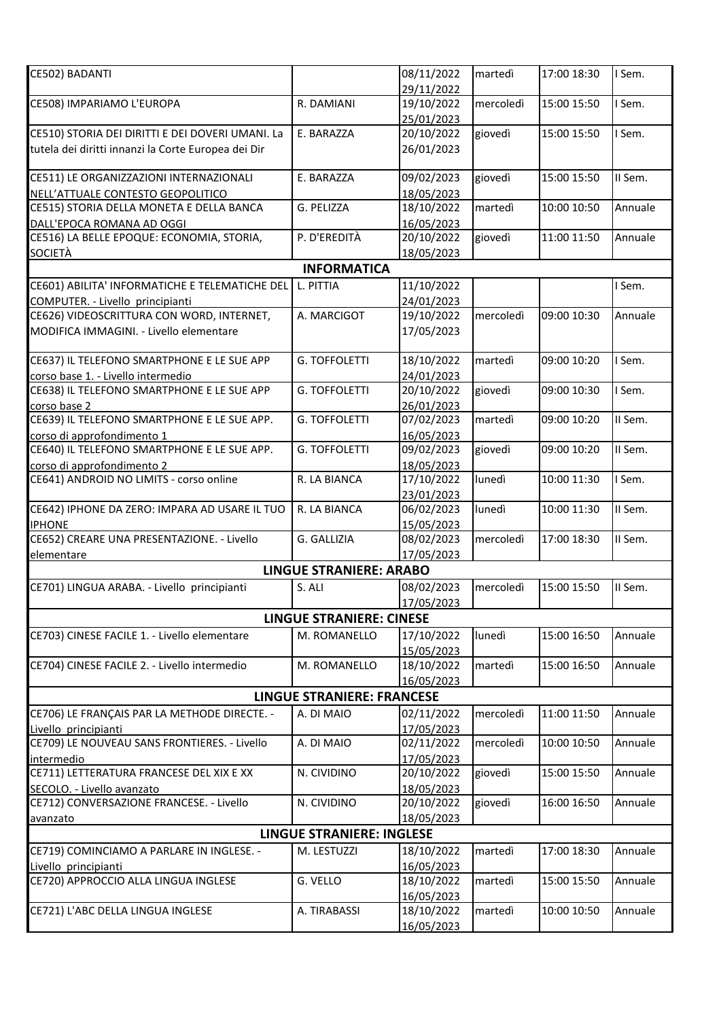| CE502) BADANTI                                                         |                                   | 08/11/2022               | martedì   | 17:00 18:30 | I Sem.  |
|------------------------------------------------------------------------|-----------------------------------|--------------------------|-----------|-------------|---------|
|                                                                        |                                   | 29/11/2022               |           |             |         |
| CE508) IMPARIAMO L'EUROPA                                              | R. DAMIANI                        | 19/10/2022               | mercoledì | 15:00 15:50 | I Sem.  |
|                                                                        |                                   | 25/01/2023               |           |             |         |
| CE510) STORIA DEI DIRITTI E DEI DOVERI UMANI. La                       | E. BARAZZA                        | 20/10/2022               | giovedì   | 15:00 15:50 | I Sem.  |
| tutela dei diritti innanzi la Corte Europea dei Dir                    |                                   | 26/01/2023               |           |             |         |
|                                                                        |                                   |                          |           |             |         |
| CE511) LE ORGANIZZAZIONI INTERNAZIONALI                                | E. BARAZZA                        | 09/02/2023               | giovedì   | 15:00 15:50 | II Sem. |
| NELL'ATTUALE CONTESTO GEOPOLITICO                                      |                                   | 18/05/2023               |           |             |         |
| CE515) STORIA DELLA MONETA E DELLA BANCA                               | G. PELIZZA                        | 18/10/2022               | martedì   | 10:00 10:50 | Annuale |
| DALL'EPOCA ROMANA AD OGGI                                              |                                   | 16/05/2023               |           |             |         |
| CE516) LA BELLE EPOQUE: ECONOMIA, STORIA,                              | P. D'EREDITÀ                      | 20/10/2022               | giovedì   | 11:00 11:50 | Annuale |
| <b>SOCIETÀ</b>                                                         |                                   | 18/05/2023               |           |             |         |
|                                                                        | <b>INFORMATICA</b>                |                          |           |             |         |
| CE601) ABILITA' INFORMATICHE E TELEMATICHE DEL                         |                                   |                          |           |             |         |
|                                                                        | L. PITTIA                         | 11/10/2022               |           |             | I Sem.  |
| COMPUTER. - Livello_principianti                                       |                                   | 24/01/2023               | mercoledì | 09:00 10:30 |         |
| CE626) VIDEOSCRITTURA CON WORD, INTERNET,                              | A. MARCIGOT                       | 19/10/2022               |           |             | Annuale |
| MODIFICA IMMAGINI. - Livello elementare                                |                                   | 17/05/2023               |           |             |         |
|                                                                        |                                   |                          |           |             |         |
| CE637) IL TELEFONO SMARTPHONE E LE SUE APP                             | <b>G. TOFFOLETTI</b>              | 18/10/2022               | martedì   | 09:00 10:20 | I Sem.  |
| corso base 1. - Livello intermedio                                     |                                   | 24/01/2023               |           |             |         |
| CE638) IL TELEFONO SMARTPHONE E LE SUE APP                             | <b>G. TOFFOLETTI</b>              | 20/10/2022               | giovedì   | 09:00 10:30 | I Sem.  |
| corso base 2                                                           |                                   | 26/01/2023               |           |             |         |
| CE639) IL TELEFONO SMARTPHONE E LE SUE APP.                            | <b>G. TOFFOLETTI</b>              | 07/02/2023               | martedì   | 09:00 10:20 | II Sem. |
| corso di approfondimento 1                                             |                                   | 16/05/2023               |           |             |         |
| CE640) IL TELEFONO SMARTPHONE E LE SUE APP.                            | <b>G. TOFFOLETTI</b>              | 09/02/2023               | giovedì   | 09:00 10:20 | II Sem. |
| corso di approfondimento 2                                             |                                   | 18/05/2023               |           |             |         |
| CE641) ANDROID NO LIMITS - corso online                                | R. LA BIANCA                      | 17/10/2022               | lunedì    | 10:00 11:30 | I Sem.  |
|                                                                        |                                   | 23/01/2023               |           |             |         |
| CE642) IPHONE DA ZERO: IMPARA AD USARE IL TUO                          | R. LA BIANCA                      | 06/02/2023               | lunedì    | 10:00 11:30 | II Sem. |
| <b>IPHONE</b>                                                          |                                   | 15/05/2023               |           |             |         |
| CE652) CREARE UNA PRESENTAZIONE. - Livello                             | G. GALLIZIA                       | 08/02/2023               | mercoledì | 17:00 18:30 | II Sem. |
| elementare                                                             |                                   | 17/05/2023               |           |             |         |
|                                                                        | <b>LINGUE STRANIERE: ARABO</b>    |                          |           |             |         |
| CE701) LINGUA ARABA. - Livello principianti                            | S. ALI                            | 08/02/2023               | mercoledì | 15:00 15:50 | II Sem. |
|                                                                        |                                   | 17/05/2023               |           |             |         |
|                                                                        | <b>LINGUE STRANIERE: CINESE</b>   |                          |           |             |         |
| CE703) CINESE FACILE 1. - Livello elementare                           | M. ROMANELLO                      | 17/10/2022               | lunedì    | 15:00 16:50 | Annuale |
|                                                                        |                                   | 15/05/2023               |           |             |         |
| CE704) CINESE FACILE 2. - Livello intermedio                           | M. ROMANELLO                      | 18/10/2022               | martedì   | 15:00 16:50 | Annuale |
|                                                                        |                                   | 16/05/2023               |           |             |         |
|                                                                        | <b>LINGUE STRANIERE: FRANCESE</b> |                          |           |             |         |
| CE706) LE FRANÇAIS PAR LA METHODE DIRECTE. -                           | A. DI MAIO                        | 02/11/2022               | mercoledì | 11:00 11:50 | Annuale |
| Livello principianti                                                   |                                   | 17/05/2023               |           |             |         |
| CE709) LE NOUVEAU SANS FRONTIERES. - Livello                           | A. DI MAIO                        | 02/11/2022               | mercoledì | 10:00 10:50 | Annuale |
| intermedio                                                             |                                   | 17/05/2023               |           |             |         |
| CE711) LETTERATURA FRANCESE DEL XIX E XX                               | N. CIVIDINO                       | 20/10/2022               | giovedì   | 15:00 15:50 | Annuale |
|                                                                        |                                   |                          |           |             |         |
| SECOLO. - Livello avanzato<br>CE712) CONVERSAZIONE FRANCESE. - Livello | N. CIVIDINO                       | 18/05/2023<br>20/10/2022 | giovedì   | 16:00 16:50 | Annuale |
|                                                                        |                                   | 18/05/2023               |           |             |         |
| avanzato                                                               |                                   |                          |           |             |         |
|                                                                        | <b>LINGUE STRANIERE: INGLESE</b>  |                          |           |             |         |
| CE719) COMINCIAMO A PARLARE IN INGLESE. -                              | M. LESTUZZI                       | 18/10/2022               | martedì   | 17:00 18:30 | Annuale |
| Livello principianti                                                   |                                   | 16/05/2023               |           |             |         |
| CE720) APPROCCIO ALLA LINGUA INGLESE                                   | G. VELLO                          | 18/10/2022               | martedì   | 15:00 15:50 | Annuale |
|                                                                        |                                   | 16/05/2023               |           |             |         |
| CE721) L'ABC DELLA LINGUA INGLESE                                      | A. TIRABASSI                      | 18/10/2022               | martedì   | 10:00 10:50 | Annuale |
|                                                                        |                                   | 16/05/2023               |           |             |         |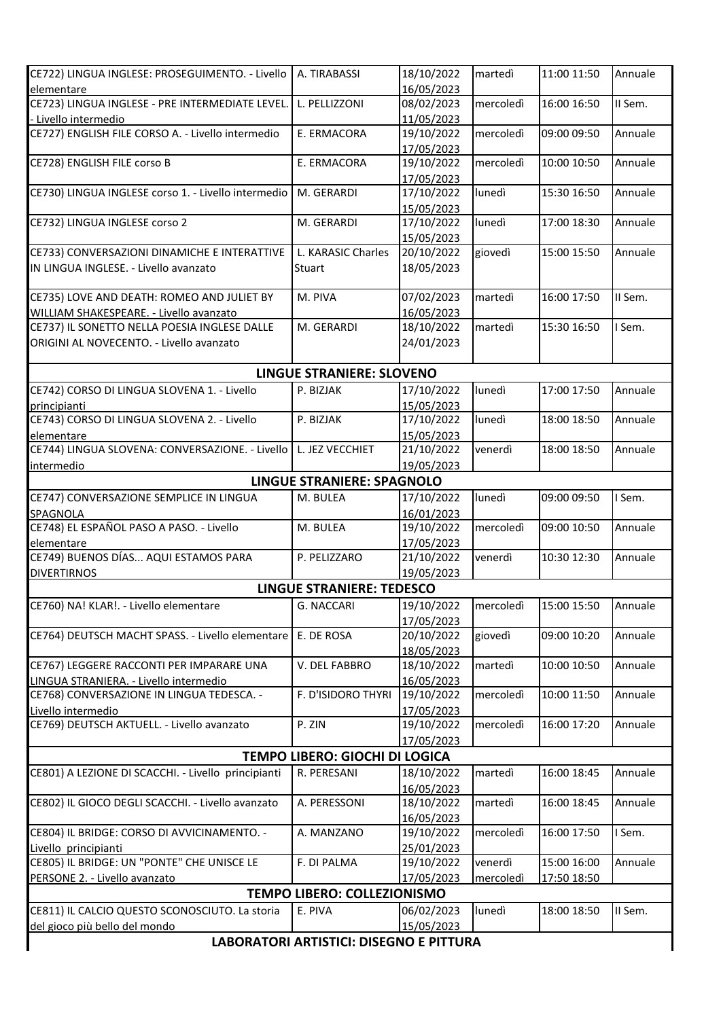| CE722) LINGUA INGLESE: PROSEGUIMENTO. - Livello                   | A. TIRABASSI                                   | 18/10/2022               | martedì   | 11:00 11:50 | Annuale |  |  |
|-------------------------------------------------------------------|------------------------------------------------|--------------------------|-----------|-------------|---------|--|--|
| elementare                                                        |                                                | 16/05/2023               |           |             |         |  |  |
| CE723) LINGUA INGLESE - PRE INTERMEDIATE LEVEL.                   | L. PELLIZZONI                                  | 08/02/2023               | mercoledì | 16:00 16:50 | II Sem. |  |  |
| - Livello intermedio                                              |                                                | 11/05/2023               |           |             |         |  |  |
| CE727) ENGLISH FILE CORSO A. - Livello intermedio                 | E. ERMACORA                                    | 19/10/2022               | mercoledì | 09:00 09:50 | Annuale |  |  |
|                                                                   |                                                | 17/05/2023               |           |             |         |  |  |
| CE728) ENGLISH FILE corso B                                       | E. ERMACORA                                    | 19/10/2022               | mercoledì | 10:00 10:50 | Annuale |  |  |
| CE730) LINGUA INGLESE corso 1. - Livello intermedio               | M. GERARDI                                     | 17/05/2023<br>17/10/2022 | lunedì    | 15:30 16:50 | Annuale |  |  |
|                                                                   |                                                | 15/05/2023               |           |             |         |  |  |
| CE732) LINGUA INGLESE corso 2                                     | M. GERARDI                                     | 17/10/2022               | lunedì    | 17:00 18:30 | Annuale |  |  |
|                                                                   |                                                | 15/05/2023               |           |             |         |  |  |
| CE733) CONVERSAZIONI DINAMICHE E INTERATTIVE                      | L. KARASIC Charles                             | 20/10/2022               | giovedì   | 15:00 15:50 | Annuale |  |  |
| IN LINGUA INGLESE. - Livello avanzato                             | Stuart                                         | 18/05/2023               |           |             |         |  |  |
|                                                                   |                                                |                          |           |             |         |  |  |
| CE735) LOVE AND DEATH: ROMEO AND JULIET BY                        | M. PIVA                                        | 07/02/2023               | martedì   | 16:00 17:50 | II Sem. |  |  |
| WILLIAM SHAKESPEARE. - Livello avanzato                           |                                                | 16/05/2023               |           |             |         |  |  |
| CE737) IL SONETTO NELLA POESIA INGLESE DALLE                      | M. GERARDI                                     | 18/10/2022               | martedì   | 15:30 16:50 | I Sem.  |  |  |
| ORIGINI AL NOVECENTO. - Livello avanzato                          |                                                | 24/01/2023               |           |             |         |  |  |
|                                                                   | <b>LINGUE STRANIERE: SLOVENO</b>               |                          |           |             |         |  |  |
| CE742) CORSO DI LINGUA SLOVENA 1. - Livello                       | P. BIZJAK                                      | 17/10/2022               | lunedì    | 17:00 17:50 | Annuale |  |  |
| principianti                                                      |                                                | 15/05/2023               |           |             |         |  |  |
| CE743) CORSO DI LINGUA SLOVENA 2. - Livello                       | P. BIZJAK                                      | 17/10/2022               | lunedì    | 18:00 18:50 | Annuale |  |  |
| elementare                                                        |                                                | 15/05/2023               |           |             |         |  |  |
| CE744) LINGUA SLOVENA: CONVERSAZIONE. - Livello   L. JEZ VECCHIET |                                                | 21/10/2022               | venerdì   | 18:00 18:50 | Annuale |  |  |
| intermedio                                                        |                                                | 19/05/2023               |           |             |         |  |  |
|                                                                   | <b>LINGUE STRANIERE: SPAGNOLO</b>              |                          |           |             |         |  |  |
| CE747) CONVERSAZIONE SEMPLICE IN LINGUA                           | M. BULEA                                       | 17/10/2022               | lunedì    | 09:00 09:50 | I Sem.  |  |  |
| <b>SPAGNOLA</b>                                                   |                                                | 16/01/2023               |           |             |         |  |  |
| CE748) EL ESPAÑOL PASO A PASO. - Livello                          | M. BULEA                                       | 19/10/2022               | mercoledì | 09:00 10:50 | Annuale |  |  |
| elementare                                                        |                                                | 17/05/2023               |           |             |         |  |  |
| CE749) BUENOS DÍAS AQUI ESTAMOS PARA                              | P. PELIZZARO                                   | 21/10/2022               | venerdì   | 10:30 12:30 | Annuale |  |  |
| <b>DIVERTIRNOS</b>                                                |                                                | 19/05/2023               |           |             |         |  |  |
|                                                                   | <b>LINGUE STRANIERE: TEDESCO</b>               |                          |           |             |         |  |  |
| CE760) NA! KLAR!. - Livello elementare                            | G. NACCARI                                     | 19/10/2022<br>17/05/2023 | mercoledì | 15:00 15:50 | Annuale |  |  |
| CE764) DEUTSCH MACHT SPASS. - Livello elementare   E. DE ROSA     |                                                | 20/10/2022               | giovedì   | 09:00 10:20 | Annuale |  |  |
|                                                                   |                                                | 18/05/2023               |           |             |         |  |  |
| CE767) LEGGERE RACCONTI PER IMPARARE UNA                          | V. DEL FABBRO                                  | 18/10/2022               | martedì   | 10:00 10:50 | Annuale |  |  |
| LINGUA STRANIERA. - Livello intermedio                            |                                                | 16/05/2023               |           |             |         |  |  |
| CE768) CONVERSAZIONE IN LINGUA TEDESCA. -                         | F. D'ISIDORO THYRI                             | 19/10/2022               | mercoledì | 10:00 11:50 | Annuale |  |  |
| Livello intermedio                                                |                                                | 17/05/2023               |           |             |         |  |  |
| CE769) DEUTSCH AKTUELL. - Livello avanzato                        | P. ZIN                                         | 19/10/2022               | mercoledì | 16:00 17:20 | Annuale |  |  |
|                                                                   |                                                | 17/05/2023               |           |             |         |  |  |
|                                                                   | <b>TEMPO LIBERO: GIOCHI DI LOGICA</b>          |                          |           |             |         |  |  |
| CE801) A LEZIONE DI SCACCHI. - Livello principianti               | R. PERESANI                                    | 18/10/2022               | martedì   | 16:00 18:45 | Annuale |  |  |
|                                                                   |                                                | 16/05/2023               |           |             |         |  |  |
| CE802) IL GIOCO DEGLI SCACCHI. - Livello avanzato                 | A. PERESSONI                                   | 18/10/2022               | martedì   | 16:00 18:45 | Annuale |  |  |
| CE804) IL BRIDGE: CORSO DI AVVICINAMENTO. -                       | A. MANZANO                                     | 16/05/2023               | mercoledì | 16:00 17:50 | I Sem.  |  |  |
| Livello principianti                                              |                                                | 19/10/2022<br>25/01/2023 |           |             |         |  |  |
| CE805) IL BRIDGE: UN "PONTE" CHE UNISCE LE                        | F. DI PALMA                                    | 19/10/2022               | venerdì   | 15:00 16:00 | Annuale |  |  |
| PERSONE 2. - Livello avanzato                                     |                                                | 17/05/2023               | mercoledì | 17:50 18:50 |         |  |  |
|                                                                   | TEMPO LIBERO: COLLEZIONISMO                    |                          |           |             |         |  |  |
| CE811) IL CALCIO QUESTO SCONOSCIUTO. La storia                    | E. PIVA                                        | 06/02/2023               | lunedì    | 18:00 18:50 | II Sem. |  |  |
| del gioco più bello del mondo                                     |                                                | 15/05/2023               |           |             |         |  |  |
|                                                                   | <b>LABORATORI ARTISTICI: DISEGNO E PITTURA</b> |                          |           |             |         |  |  |
|                                                                   |                                                |                          |           |             |         |  |  |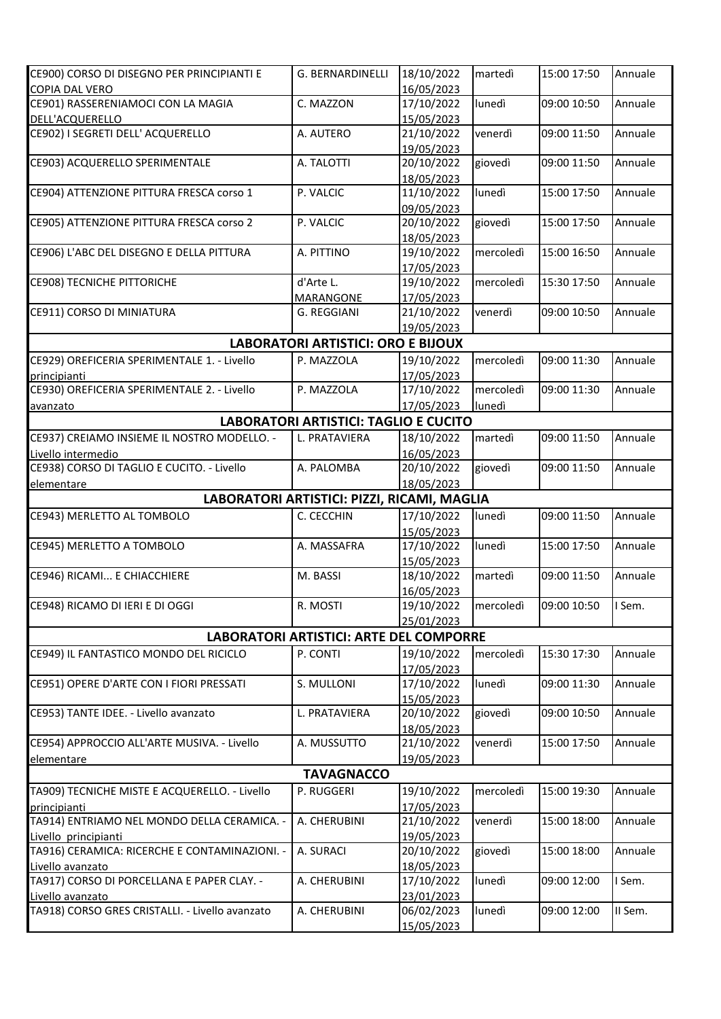| CE900) CORSO DI DISEGNO PER PRINCIPIANTI E                                                                                                                                                                                                                                                                                                                                                                                                                                                                                                | G. BERNARDINELLI                               | 18/10/2022               | martedì   | 15:00 17:50 | Annuale |  |  |
|-------------------------------------------------------------------------------------------------------------------------------------------------------------------------------------------------------------------------------------------------------------------------------------------------------------------------------------------------------------------------------------------------------------------------------------------------------------------------------------------------------------------------------------------|------------------------------------------------|--------------------------|-----------|-------------|---------|--|--|
| <b>COPIA DAL VERO</b>                                                                                                                                                                                                                                                                                                                                                                                                                                                                                                                     |                                                | 16/05/2023               |           |             |         |  |  |
| CE901) RASSERENIAMOCI CON LA MAGIA                                                                                                                                                                                                                                                                                                                                                                                                                                                                                                        | C. MAZZON                                      | 17/10/2022               | lunedì    | 09:00 10:50 | Annuale |  |  |
| DELL'ACQUERELLO                                                                                                                                                                                                                                                                                                                                                                                                                                                                                                                           |                                                |                          |           |             |         |  |  |
| CE902) I SEGRETI DELL' ACQUERELLO                                                                                                                                                                                                                                                                                                                                                                                                                                                                                                         | A. AUTERO                                      | 15/05/2023<br>21/10/2022 | venerdì   | 09:00 11:50 | Annuale |  |  |
|                                                                                                                                                                                                                                                                                                                                                                                                                                                                                                                                           |                                                | 19/05/2023               |           |             |         |  |  |
| CE903) ACQUERELLO SPERIMENTALE                                                                                                                                                                                                                                                                                                                                                                                                                                                                                                            | A. TALOTTI                                     | 20/10/2022               | giovedì   | 09:00 11:50 | Annuale |  |  |
|                                                                                                                                                                                                                                                                                                                                                                                                                                                                                                                                           |                                                |                          |           |             |         |  |  |
| CE904) ATTENZIONE PITTURA FRESCA corso 1                                                                                                                                                                                                                                                                                                                                                                                                                                                                                                  |                                                | 18/05/2023<br>11/10/2022 |           | 15:00 17:50 | Annuale |  |  |
|                                                                                                                                                                                                                                                                                                                                                                                                                                                                                                                                           | P. VALCIC                                      |                          | lunedì    |             |         |  |  |
| CE905) ATTENZIONE PITTURA FRESCA corso 2                                                                                                                                                                                                                                                                                                                                                                                                                                                                                                  | P. VALCIC                                      | 09/05/2023<br>20/10/2022 | giovedì   | 15:00 17:50 | Annuale |  |  |
|                                                                                                                                                                                                                                                                                                                                                                                                                                                                                                                                           |                                                | 18/05/2023               |           |             |         |  |  |
| CE906) L'ABC DEL DISEGNO E DELLA PITTURA                                                                                                                                                                                                                                                                                                                                                                                                                                                                                                  | A. PITTINO                                     | 19/10/2022               | mercoledì | 15:00 16:50 | Annuale |  |  |
|                                                                                                                                                                                                                                                                                                                                                                                                                                                                                                                                           |                                                | 17/05/2023               |           |             |         |  |  |
| <b>CE908) TECNICHE PITTORICHE</b>                                                                                                                                                                                                                                                                                                                                                                                                                                                                                                         | d'Arte L.                                      | 19/10/2022               | mercoledì | 15:30 17:50 | Annuale |  |  |
|                                                                                                                                                                                                                                                                                                                                                                                                                                                                                                                                           |                                                |                          |           |             |         |  |  |
| CE911) CORSO DI MINIATURA                                                                                                                                                                                                                                                                                                                                                                                                                                                                                                                 | MARANGONE<br>G. REGGIANI                       | 17/05/2023<br>21/10/2022 | venerdì   | 09:00 10:50 | Annuale |  |  |
|                                                                                                                                                                                                                                                                                                                                                                                                                                                                                                                                           |                                                |                          |           |             |         |  |  |
|                                                                                                                                                                                                                                                                                                                                                                                                                                                                                                                                           |                                                | 19/05/2023               |           |             |         |  |  |
|                                                                                                                                                                                                                                                                                                                                                                                                                                                                                                                                           | <b>LABORATORI ARTISTICI: ORO E BIJOUX</b>      |                          |           |             |         |  |  |
| CE929) OREFICERIA SPERIMENTALE 1. - Livello                                                                                                                                                                                                                                                                                                                                                                                                                                                                                               | P. MAZZOLA                                     | 19/10/2022               | mercoledì | 09:00 11:30 | Annuale |  |  |
| principianti                                                                                                                                                                                                                                                                                                                                                                                                                                                                                                                              |                                                | 17/05/2023               |           |             |         |  |  |
| CE930) OREFICERIA SPERIMENTALE 2. - Livello                                                                                                                                                                                                                                                                                                                                                                                                                                                                                               | P. MAZZOLA                                     | 17/10/2022               | mercoledì | 09:00 11:30 | Annuale |  |  |
| avanzato                                                                                                                                                                                                                                                                                                                                                                                                                                                                                                                                  |                                                | 17/05/2023               | lunedì    |             |         |  |  |
|                                                                                                                                                                                                                                                                                                                                                                                                                                                                                                                                           | <b>LABORATORI ARTISTICI: TAGLIO E CUCITO</b>   |                          |           |             |         |  |  |
| CE937) CREIAMO INSIEME IL NOSTRO MODELLO. -                                                                                                                                                                                                                                                                                                                                                                                                                                                                                               | L. PRATAVIERA                                  | 18/10/2022               | martedì   | 09:00 11:50 | Annuale |  |  |
| Livello intermedio                                                                                                                                                                                                                                                                                                                                                                                                                                                                                                                        |                                                | 16/05/2023               |           |             |         |  |  |
| CE938) CORSO DI TAGLIO E CUCITO. - Livello                                                                                                                                                                                                                                                                                                                                                                                                                                                                                                | A. PALOMBA                                     | 20/10/2022               | giovedì   | 09:00 11:50 | Annuale |  |  |
| elementare                                                                                                                                                                                                                                                                                                                                                                                                                                                                                                                                |                                                | 18/05/2023               |           |             |         |  |  |
| LABORATORI ARTISTICI: PIZZI, RICAMI, MAGLIA                                                                                                                                                                                                                                                                                                                                                                                                                                                                                               |                                                |                          |           |             |         |  |  |
|                                                                                                                                                                                                                                                                                                                                                                                                                                                                                                                                           |                                                |                          |           |             |         |  |  |
|                                                                                                                                                                                                                                                                                                                                                                                                                                                                                                                                           |                                                |                          |           |             |         |  |  |
|                                                                                                                                                                                                                                                                                                                                                                                                                                                                                                                                           | C. CECCHIN                                     | 17/10/2022               | lunedì    | 09:00 11:50 | Annuale |  |  |
|                                                                                                                                                                                                                                                                                                                                                                                                                                                                                                                                           |                                                | 15/05/2023               |           |             |         |  |  |
| CE943) MERLETTO AL TOMBOLO<br>CE945) MERLETTO A TOMBOLO                                                                                                                                                                                                                                                                                                                                                                                                                                                                                   | A. MASSAFRA                                    | 17/10/2022               | lunedì    | 15:00 17:50 | Annuale |  |  |
|                                                                                                                                                                                                                                                                                                                                                                                                                                                                                                                                           |                                                | 15/05/2023               | martedì   |             |         |  |  |
|                                                                                                                                                                                                                                                                                                                                                                                                                                                                                                                                           | M. BASSI                                       | 18/10/2022               |           | 09:00 11:50 | Annuale |  |  |
|                                                                                                                                                                                                                                                                                                                                                                                                                                                                                                                                           |                                                | 16/05/2023               |           |             |         |  |  |
|                                                                                                                                                                                                                                                                                                                                                                                                                                                                                                                                           | R. MOSTI                                       | 19/10/2022               | mercoledì | 09:00 10:50 | I Sem.  |  |  |
|                                                                                                                                                                                                                                                                                                                                                                                                                                                                                                                                           |                                                | 25/01/2023               |           |             |         |  |  |
|                                                                                                                                                                                                                                                                                                                                                                                                                                                                                                                                           | <b>LABORATORI ARTISTICI: ARTE DEL COMPORRE</b> |                          |           |             |         |  |  |
|                                                                                                                                                                                                                                                                                                                                                                                                                                                                                                                                           | P. CONTI                                       | 19/10/2022               | mercoledì | 15:30 17:30 | Annuale |  |  |
|                                                                                                                                                                                                                                                                                                                                                                                                                                                                                                                                           |                                                | 17/05/2023               |           |             |         |  |  |
|                                                                                                                                                                                                                                                                                                                                                                                                                                                                                                                                           | S. MULLONI                                     | 17/10/2022               | lunedì    | 09:00 11:30 | Annuale |  |  |
|                                                                                                                                                                                                                                                                                                                                                                                                                                                                                                                                           |                                                | 15/05/2023               |           |             |         |  |  |
|                                                                                                                                                                                                                                                                                                                                                                                                                                                                                                                                           | L. PRATAVIERA                                  | 20/10/2022               | giovedì   | 09:00 10:50 | Annuale |  |  |
|                                                                                                                                                                                                                                                                                                                                                                                                                                                                                                                                           |                                                | 18/05/2023               |           |             |         |  |  |
|                                                                                                                                                                                                                                                                                                                                                                                                                                                                                                                                           | A. MUSSUTTO                                    | 21/10/2022               | venerdì   | 15:00 17:50 | Annuale |  |  |
|                                                                                                                                                                                                                                                                                                                                                                                                                                                                                                                                           |                                                | 19/05/2023               |           |             |         |  |  |
|                                                                                                                                                                                                                                                                                                                                                                                                                                                                                                                                           | <b>TAVAGNACCO</b>                              |                          |           |             |         |  |  |
|                                                                                                                                                                                                                                                                                                                                                                                                                                                                                                                                           | P. RUGGERI                                     | 19/10/2022               | mercoledì | 15:00 19:30 | Annuale |  |  |
|                                                                                                                                                                                                                                                                                                                                                                                                                                                                                                                                           |                                                | 17/05/2023               |           |             |         |  |  |
|                                                                                                                                                                                                                                                                                                                                                                                                                                                                                                                                           | A. CHERUBINI                                   | 21/10/2022               | venerdì   | 15:00 18:00 | Annuale |  |  |
|                                                                                                                                                                                                                                                                                                                                                                                                                                                                                                                                           |                                                | 19/05/2023               |           |             |         |  |  |
|                                                                                                                                                                                                                                                                                                                                                                                                                                                                                                                                           | A. SURACI                                      | 20/10/2022               | giovedì   | 15:00 18:00 | Annuale |  |  |
|                                                                                                                                                                                                                                                                                                                                                                                                                                                                                                                                           |                                                | 18/05/2023               |           |             |         |  |  |
|                                                                                                                                                                                                                                                                                                                                                                                                                                                                                                                                           | A. CHERUBINI                                   | 17/10/2022               | lunedì    | 09:00 12:00 | I Sem.  |  |  |
| CE946) RICAMI E CHIACCHIERE<br>CE948) RICAMO DI IERI E DI OGGI<br>CE949) IL FANTASTICO MONDO DEL RICICLO<br>CE951) OPERE D'ARTE CON I FIORI PRESSATI<br>CE953) TANTE IDEE. - Livello avanzato<br>CE954) APPROCCIO ALL'ARTE MUSIVA. - Livello<br>elementare<br>TA909) TECNICHE MISTE E ACQUERELLO. - Livello<br>principianti<br>TA914) ENTRIAMO NEL MONDO DELLA CERAMICA. -<br>Livello principianti<br>TA916) CERAMICA: RICERCHE E CONTAMINAZIONI. -<br>Livello avanzato<br>TA917) CORSO DI PORCELLANA E PAPER CLAY. -<br>Livello avanzato |                                                | 23/01/2023               |           |             |         |  |  |
| TA918) CORSO GRES CRISTALLI. - Livello avanzato                                                                                                                                                                                                                                                                                                                                                                                                                                                                                           | A. CHERUBINI                                   | 06/02/2023<br>15/05/2023 | lunedì    | 09:00 12:00 | II Sem. |  |  |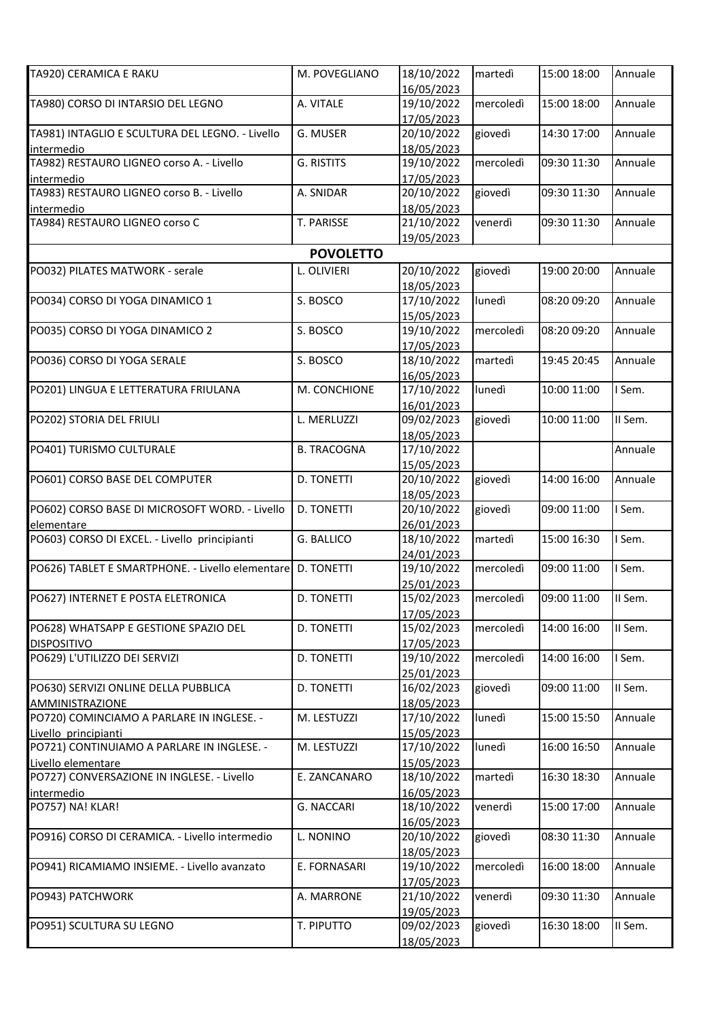| TA920) CERAMICA E RAKU                                      | M. POVEGLIANO      | 18/10/2022<br>16/05/2023 | martedì   | 15:00 18:00 | Annuale |
|-------------------------------------------------------------|--------------------|--------------------------|-----------|-------------|---------|
| TA980) CORSO DI INTARSIO DEL LEGNO                          | A. VITALE          | 19/10/2022               | mercoledì | 15:00 18:00 | Annuale |
|                                                             |                    | 17/05/2023               |           |             |         |
| TA981) INTAGLIO E SCULTURA DEL LEGNO. - Livello             | G. MUSER           | 20/10/2022               | giovedì   | 14:30 17:00 | Annuale |
| intermedio                                                  |                    | 18/05/2023               |           |             |         |
| TA982) RESTAURO LIGNEO corso A. - Livello                   | <b>G. RISTITS</b>  | 19/10/2022               | mercoledì | 09:30 11:30 | Annuale |
| intermedio                                                  |                    | 17/05/2023               |           |             |         |
| TA983) RESTAURO LIGNEO corso B. - Livello                   | A. SNIDAR          | 20/10/2022               | giovedì   | 09:30 11:30 | Annuale |
|                                                             |                    | 18/05/2023               |           |             |         |
| intermedio<br>TA984) RESTAURO LIGNEO corso C                | T. PARISSE         | 21/10/2022               | venerdì   | 09:30 11:30 | Annuale |
|                                                             |                    | 19/05/2023               |           |             |         |
|                                                             | <b>POVOLETTO</b>   |                          |           |             |         |
|                                                             |                    |                          |           |             |         |
| PO032) PILATES MATWORK - serale                             | L. OLIVIERI        | 20/10/2022               | giovedì   | 19:00 20:00 | Annuale |
|                                                             |                    | 18/05/2023               |           |             |         |
| PO034) CORSO DI YOGA DINAMICO 1                             | S. BOSCO           | 17/10/2022               | lunedì    | 08:20 09:20 | Annuale |
|                                                             |                    | 15/05/2023               |           |             |         |
| PO035) CORSO DI YOGA DINAMICO 2                             | S. BOSCO           | 19/10/2022               | mercoledì | 08:20 09:20 | Annuale |
|                                                             |                    | 17/05/2023               |           |             |         |
| PO036) CORSO DI YOGA SERALE                                 | S. BOSCO           | 18/10/2022               | martedì   | 19:45 20:45 | Annuale |
|                                                             |                    | 16/05/2023               |           |             |         |
| PO201) LINGUA E LETTERATURA FRIULANA                        | M. CONCHIONE       | 17/10/2022               | lunedì    | 10:00 11:00 | I Sem.  |
|                                                             |                    | 16/01/2023               |           |             |         |
| PO202) STORIA DEL FRIULI                                    | L. MERLUZZI        | 09/02/2023               | giovedì   | 10:00 11:00 | II Sem. |
|                                                             |                    | 18/05/2023               |           |             |         |
| PO401) TURISMO CULTURALE                                    | <b>B. TRACOGNA</b> | 17/10/2022               |           |             | Annuale |
|                                                             |                    | 15/05/2023               |           |             |         |
| PO601) CORSO BASE DEL COMPUTER                              | D. TONETTI         | 20/10/2022               | giovedì   | 14:00 16:00 | Annuale |
|                                                             |                    | 18/05/2023               |           |             |         |
| PO602) CORSO BASE DI MICROSOFT WORD. - Livello              | <b>D. TONETTI</b>  | 20/10/2022               | giovedì   | 09:00 11:00 | I Sem.  |
| elementare                                                  |                    | 26/01/2023               |           |             |         |
| PO603) CORSO DI EXCEL. - Livello principianti               | G. BALLICO         | 18/10/2022               | martedì   | 15:00 16:30 | I Sem.  |
|                                                             |                    | 24/01/2023               |           |             |         |
| PO626) TABLET E SMARTPHONE. - Livello elementare D. TONETTI |                    | 19/10/2022               | mercoledì | 09:00 11:00 | I Sem.  |
|                                                             |                    | 25/01/2023               |           |             |         |
| PO627) INTERNET E POSTA ELETRONICA                          | <b>D. TONETTI</b>  | 15/02/2023               | mercoledì | 09:00 11:00 | II Sem. |
|                                                             |                    | 17/05/2023               |           |             |         |
| PO628) WHATSAPP E GESTIONE SPAZIO DEL                       | D. TONETTI         | 15/02/2023               | mercoledì | 14:00 16:00 | II Sem. |
| <b>DISPOSITIVO</b>                                          |                    | 17/05/2023               |           |             |         |
| PO629) L'UTILIZZO DEI SERVIZI                               | D. TONETTI         | 19/10/2022               | mercoledì | 14:00 16:00 | I Sem.  |
|                                                             |                    | 25/01/2023               |           |             |         |
| PO630) SERVIZI ONLINE DELLA PUBBLICA                        | <b>D. TONETTI</b>  | 16/02/2023               | giovedì   | 09:00 11:00 | II Sem. |
| <b>AMMINISTRAZIONE</b>                                      |                    | 18/05/2023               |           |             |         |
| PO720) COMINCIAMO A PARLARE IN INGLESE. -                   | M. LESTUZZI        | 17/10/2022               | lunedì    | 15:00 15:50 | Annuale |
| Livello principianti                                        |                    | 15/05/2023               |           |             |         |
| PO721) CONTINUIAMO A PARLARE IN INGLESE. -                  | M. LESTUZZI        | 17/10/2022               | lunedì    | 16:00 16:50 | Annuale |
| Livello elementare                                          |                    | 15/05/2023               |           |             |         |
| PO727) CONVERSAZIONE IN INGLESE. - Livello                  | E. ZANCANARO       | 18/10/2022               | martedì   | 16:30 18:30 | Annuale |
| intermedio                                                  |                    | 16/05/2023               |           |             |         |
| PO757) NA! KLAR!                                            | G. NACCARI         | 18/10/2022               | venerdì   | 15:00 17:00 | Annuale |
|                                                             |                    | 16/05/2023               |           |             |         |
| PO916) CORSO DI CERAMICA. - Livello intermedio              | L. NONINO          | 20/10/2022               | giovedì   | 08:30 11:30 | Annuale |
|                                                             |                    | 18/05/2023               |           |             |         |
| PO941) RICAMIAMO INSIEME. - Livello avanzato                | E. FORNASARI       | 19/10/2022               | mercoledì | 16:00 18:00 | Annuale |
|                                                             |                    | 17/05/2023               |           |             |         |
| PO943) PATCHWORK                                            | A. MARRONE         | 21/10/2022               | venerdì   | 09:30 11:30 | Annuale |
|                                                             |                    | 19/05/2023               |           |             |         |
| PO951) SCULTURA SU LEGNO                                    | T. PIPUTTO         | 09/02/2023               | giovedì   | 16:30 18:00 | II Sem. |
|                                                             |                    | 18/05/2023               |           |             |         |